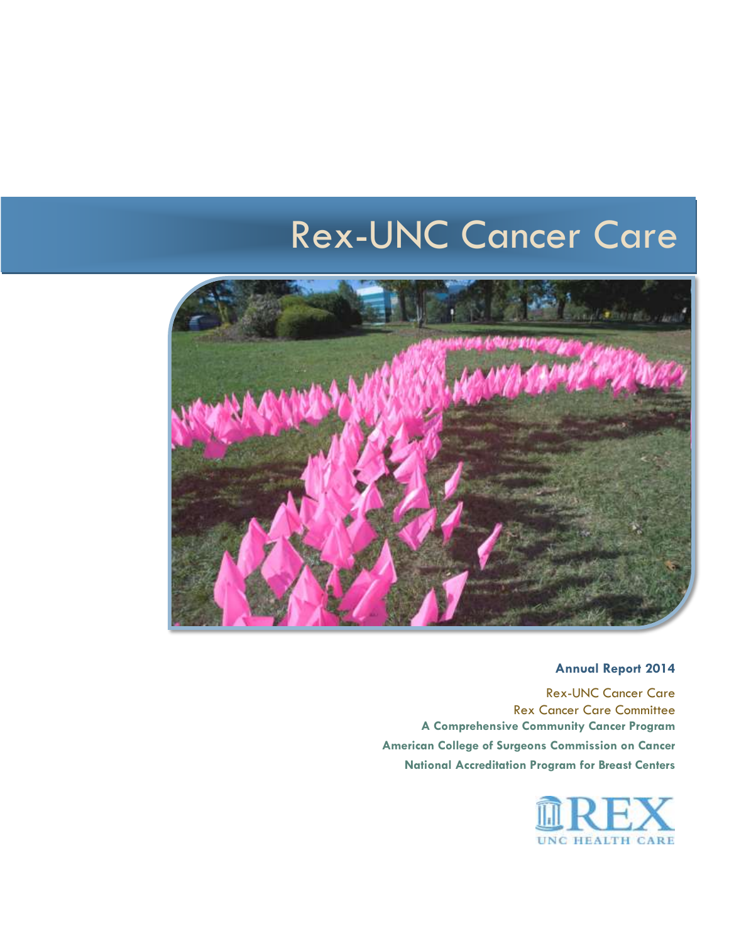# Rex-UNC Cancer Care



# **Annual Report 2014**

Rex-UNC Cancer Care Rex Cancer Care Committee **A Comprehensive Community Cancer Program American College of Surgeons Commission on Cancer National Accreditation Program for Breast Centers** 

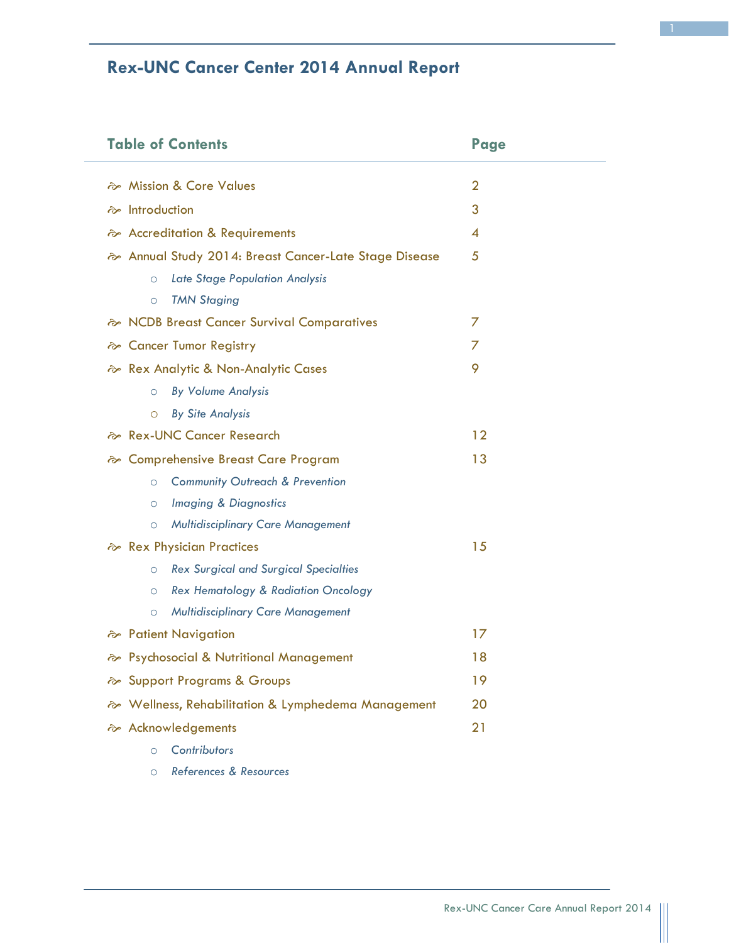# **Rex-UNC Cancer Center 2014 Annual Report**

| <b>Table of Contents</b>                                  | Page           |
|-----------------------------------------------------------|----------------|
| p Mission & Core Values                                   | $\overline{2}$ |
| htroduction                                               | 3              |
| po Accreditation & Requirements                           | 4              |
| a Annual Study 2014: Breast Cancer-Late Stage Disease     | 5              |
| Late Stage Population Analysis<br>$\circ$                 |                |
| <b>TMN Staging</b><br>$\circ$                             |                |
| → NCDB Breast Cancer Survival Comparatives                | 7              |
| & Cancer Tumor Registry                                   | 7              |
| po Rex Analytic & Non-Analytic Cases                      | 9              |
| <b>By Volume Analysis</b><br>$\circ$                      |                |
| <b>By Site Analysis</b><br>$\circ$                        |                |
| Rex-UNC Cancer Research                                   | 12             |
| po Comprehensive Breast Care Program                      | 13             |
| <b>Community Outreach &amp; Prevention</b><br>$\circ$     |                |
| <b>Imaging &amp; Diagnostics</b><br>$\circ$               |                |
| <b>Multidisciplinary Care Management</b><br>$\circ$       |                |
| Rex Physician Practices                                   | 15             |
| <b>Rex Surgical and Surgical Specialties</b><br>$\circ$   |                |
| <b>Rex Hematology &amp; Radiation Oncology</b><br>$\circ$ |                |
| <b>Multidisciplinary Care Management</b><br>$\circ$       |                |
| portient Navigation                                       | 17             |
| posed by Psychosocial & Nutritional Management            | 18             |
| possible Support Programs & Groups                        | 19             |
| p Wellness, Rehabilitation & Lymphedema Management        | 20             |
| p Acknowledgements                                        | 21             |
| Contributors<br>$\circ$                                   |                |
| References & Resources<br>$\circ$                         |                |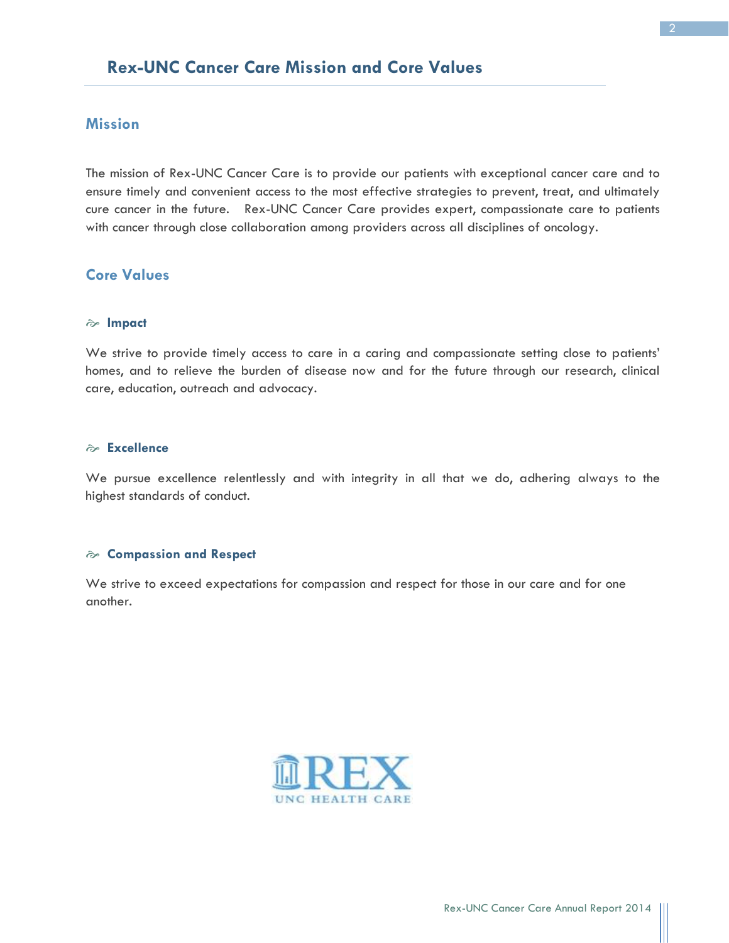# **Rex-UNC Cancer Care Mission and Core Values**

# **Mission**

The mission of Rex-UNC Cancer Care is to provide our patients with exceptional cancer care and to ensure timely and convenient access to the most effective strategies to prevent, treat, and ultimately cure cancer in the future. Rex-UNC Cancer Care provides expert, compassionate care to patients with cancer through close collaboration among providers across all disciplines of oncology.

# **Core Values**

#### **Impact**

We strive to provide timely access to care in a caring and compassionate setting close to patients' homes, and to relieve the burden of disease now and for the future through our research, clinical care, education, outreach and advocacy.

# **Excellence**

We pursue excellence relentlessly and with integrity in all that we do, adhering always to the highest standards of conduct.

#### **Compassion and Respect**

We strive to exceed expectations for compassion and respect for those in our care and for one another.

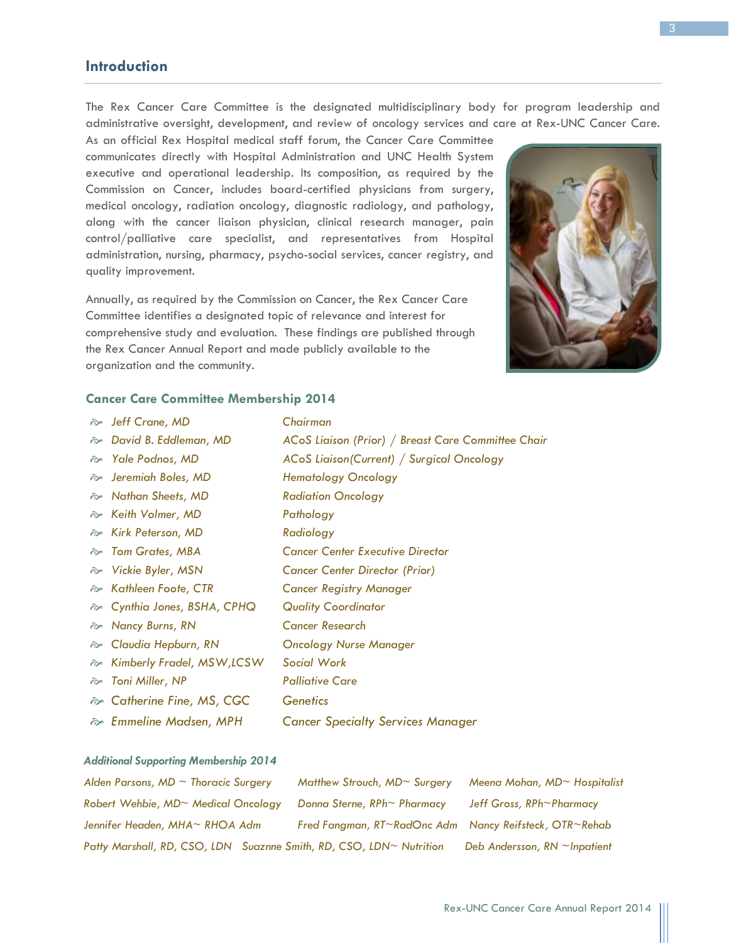# **Introduction**

The Rex Cancer Care Committee is the designated multidisciplinary body for program leadership and administrative oversight, development, and review of oncology services and care at Rex-UNC Cancer Care.

As an official Rex Hospital medical staff forum, the Cancer Care Committee communicates directly with Hospital Administration and UNC Health System executive and operational leadership. Its composition, as required by the Commission on Cancer, includes board-certified physicians from surgery, medical oncology, radiation oncology, diagnostic radiology, and pathology, along with the cancer liaison physician, clinical research manager, pain control/palliative care specialist, and representatives from Hospital administration, nursing, pharmacy, psycho-social services, cancer registry, and quality improvement.

Annually, as required by the Commission on Cancer, the Rex Cancer Care Committee identifies a designated topic of relevance and interest for comprehensive study and evaluation. These findings are published through the Rex Cancer Annual Report and made publicly available to the organization and the community.



#### **Cancer Care Committee Membership 2014**

| po Jeff Crane, MD            | Chairman                                           |
|------------------------------|----------------------------------------------------|
| a David B. Eddleman, MD      | ACoS Liaison (Prior) / Breast Care Committee Chair |
| → Yale Podnos, MD            | ACoS Liaison (Current) / Surgical Oncology         |
| posed Jeremiah Boles, MD     | <b>Hematology Oncology</b>                         |
| p Nathan Sheets, MD          | <b>Radiation Oncology</b>                          |
| p Keith Volmer, MD           | Pathology                                          |
| p Kirk Peterson, MD          | Radiology                                          |
| por Grates, MBA              | <b>Cancer Center Executive Director</b>            |
| p Vickie Byler, MSN          | <b>Cancer Center Director (Prior)</b>              |
| ੈ Kathleen Foote, CTR        | Cancer Registry Manager                            |
| → Cynthia Jones, BSHA, CPHQ  | Quality Coordinator                                |
| p→ Nancy Burns, RN           | Cancer Research                                    |
| po Claudia Hepburn, RN       | <b>Oncology Nurse Manager</b>                      |
| → Kimberly Fradel, MSW, LCSW | Social Work                                        |
| → Toni Miller, NP            | <b>Palliative Care</b>                             |
| → Catherine Fine, MS, CGC    | Genetics                                           |
| p Emmeline Madsen, MPH       | <b>Cancer Specialty Services Manager</b>           |

#### *Additional Supporting Membership 2014*

| Alden Parsons, MD $\sim$ Thoracic Surgery                           | Matthew Strouch, $MD \sim$ Surgery                     | Meena Mohan, $MD \sim$ Hospitalist  |
|---------------------------------------------------------------------|--------------------------------------------------------|-------------------------------------|
| Robert Wehbie, MD~ Medical Oncology                                 | Donna Sterne, $RPh\sim Pharmacy$                       | Jeff Gross, RPh~Pharmacy            |
| Jennifer Headen, MHA~ RHOA Adm                                      | Fred Fangman, RT~RadOnc Adm Nancy Reifsteck, OTR~Rehab |                                     |
| Patty Marshall, RD, CSO, LDN Suaznne Smith, RD, CSO, LDN~ Nutrition |                                                        | Deb Andersson, $RN \sim In$ patient |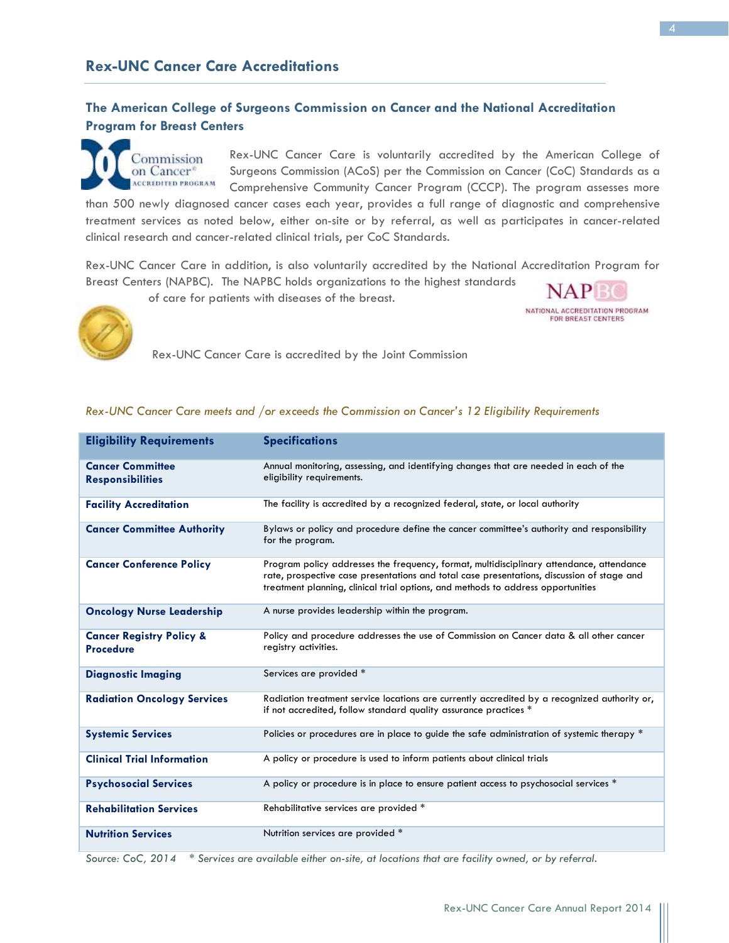# **The American College of Surgeons Commission on Cancer and the National Accreditation Program for Breast Centers**

Commission on Cancer<sup>®</sup> **ACCREDITED PROGRAM** 

Rex-UNC Cancer Care is voluntarily accredited by the American College of Surgeons Commission (ACoS) per the Commission on Cancer (CoC) Standards as a Comprehensive Community Cancer Program (CCCP). The program assesses more

than 500 newly diagnosed cancer cases each year, provides a full range of diagnostic and comprehensive treatment services as noted below, either on-site or by referral, as well as participates in cancer-related clinical research and cancer-related clinical trials, per CoC Standards.

Rex-UNC Cancer Care in addition, is also voluntarily accredited by the National Accreditation Program for Breast Centers (NAPBC). The NAPBC holds organizations to the highest standards

of care for patients with diseases of the breast.





Rex-UNC Cancer Care is accredited by the Joint Commission

| <b>Eligibility Requirements</b>                         | <b>Specifications</b>                                                                                                                                                                                                                                                      |
|---------------------------------------------------------|----------------------------------------------------------------------------------------------------------------------------------------------------------------------------------------------------------------------------------------------------------------------------|
| <b>Cancer Committee</b><br><b>Responsibilities</b>      | Annual monitoring, assessing, and identifying changes that are needed in each of the<br>eligibility requirements.                                                                                                                                                          |
| <b>Facility Accreditation</b>                           | The facility is accredited by a recognized federal, state, or local authority                                                                                                                                                                                              |
| <b>Cancer Committee Authority</b>                       | Bylaws or policy and procedure define the cancer committee's authority and responsibility<br>for the program.                                                                                                                                                              |
| <b>Cancer Conference Policy</b>                         | Program policy addresses the frequency, format, multidisciplinary attendance, attendance<br>rate, prospective case presentations and total case presentations, discussion of stage and<br>treatment planning, clinical trial options, and methods to address opportunities |
| <b>Oncology Nurse Leadership</b>                        | A nurse provides leadership within the program.                                                                                                                                                                                                                            |
| <b>Cancer Registry Policy &amp;</b><br><b>Procedure</b> | Policy and procedure addresses the use of Commission on Cancer data & all other cancer<br>registry activities.                                                                                                                                                             |
| <b>Diagnostic Imaging</b>                               | Services are provided *                                                                                                                                                                                                                                                    |
| <b>Radiation Oncology Services</b>                      | Radiation treatment service locations are currently accredited by a recognized authority or,<br>if not accredited, follow standard quality assurance practices *                                                                                                           |
| <b>Systemic Services</b>                                | Policies or procedures are in place to guide the safe administration of systemic therapy *                                                                                                                                                                                 |
| <b>Clinical Trial Information</b>                       | A policy or procedure is used to inform patients about clinical trials                                                                                                                                                                                                     |
| <b>Psychosocial Services</b>                            | A policy or procedure is in place to ensure patient access to psychosocial services *                                                                                                                                                                                      |
| <b>Rehabilitation Services</b>                          | Rehabilitative services are provided *                                                                                                                                                                                                                                     |
| <b>Nutrition Services</b>                               | Nutrition services are provided *                                                                                                                                                                                                                                          |

#### *Rex-UNC Cancer Care meets and /or exceeds the Commission on Cancer's 12 Eligibility Requirements*

*Source: CoC, 2014 \* Services are available either on-site, at locations that are facility owned, or by referral.*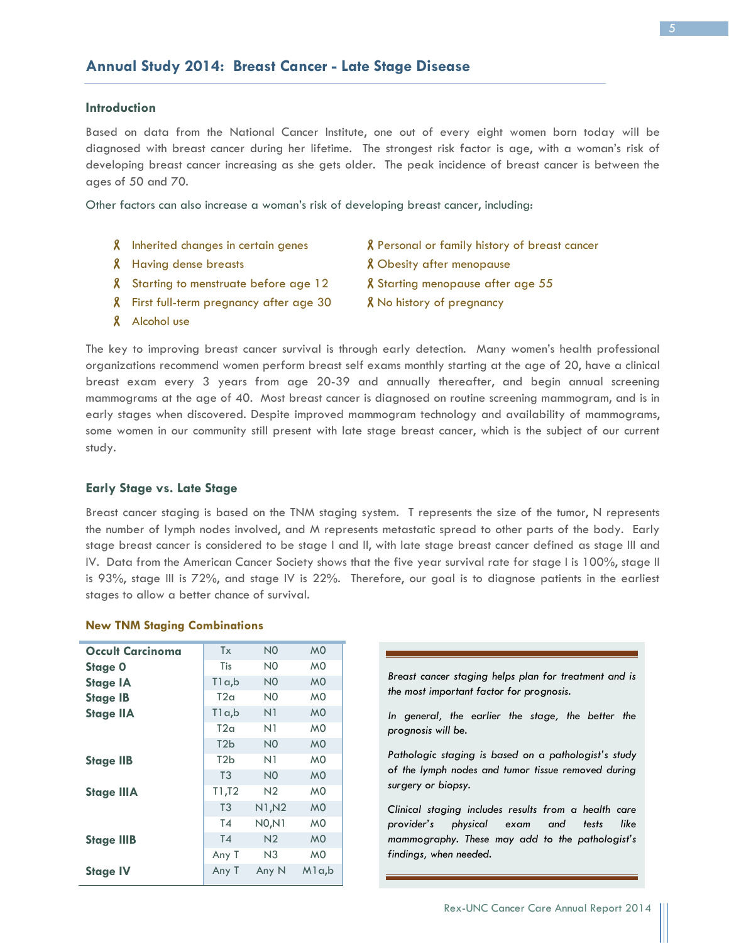#### **Introduction**

Based on data from the National Cancer Institute, one out of every eight women born today will be diagnosed with breast cancer during her lifetime. The strongest risk factor is age, with a woman's risk of developing breast cancer increasing as she gets older. The peak incidence of breast cancer is between the ages of 50 and 70.

Other factors can also increase a woman's risk of developing breast cancer, including:

- 
- 
- $\chi$  Starting to menstruate before age 12  $\chi$  Starting menopause after age 55
- $\lambda$  First full-term pregnancy after age 30  $\lambda$  No history of pregnancy
- **8** Alcohol use
- $\lambda$  Inherited changes in certain genes  $\lambda$  Personal or family history of breast cancer
- **R** Having dense breasts **R** Obesity after menopause
	-
	-

The key to improving breast cancer survival is through early detection. Many women's health professional organizations recommend women perform breast self exams monthly starting at the age of 20, have a clinical breast exam every 3 years from age 20-39 and annually thereafter, and begin annual screening mammograms at the age of 40. Most breast cancer is diagnosed on routine screening mammogram, and is in early stages when discovered. Despite improved mammogram technology and availability of mammograms, some women in our community still present with late stage breast cancer, which is the subject of our current study.

#### **Early Stage vs. Late Stage**

Breast cancer staging is based on the TNM staging system. T represents the size of the tumor, N represents the number of lymph nodes involved, and M represents metastatic spread to other parts of the body. Early stage breast cancer is considered to be stage I and II, with late stage breast cancer defined as stage III and IV. Data from the American Cancer Society shows that the five year survival rate for stage I is 100%, stage II is 93%, stage III is 72%, and stage IV is 22%. Therefore, our goal is to diagnose patients in the earliest stages to allow a better chance of survival.

| <b>Occult Carcinoma</b> | Tx               | N0             | M <sub>0</sub> |
|-------------------------|------------------|----------------|----------------|
| <b>Stage 0</b>          | Tis              | N0             | M <sub>0</sub> |
| <b>Stage IA</b>         | T1a,b            | N <sub>0</sub> | M <sub>0</sub> |
| <b>Stage IB</b>         | T2a              | N0             | MO             |
| <b>Stage IIA</b>        | T1a,b            | N1             | M <sub>0</sub> |
|                         | T2a              | N1             | MO             |
|                         | T2b              | N0             | M <sub>0</sub> |
| <b>Stage IIB</b>        | T <sub>2</sub> b | N1             | M <sub>0</sub> |
|                         | T <sub>3</sub>   | N0             | M <sub>0</sub> |
| <b>Stage IIIA</b>       | T1,T2            | N <sub>2</sub> | M <sub>0</sub> |
|                         | T <sub>3</sub>   | <b>N1, N2</b>  | M <sub>0</sub> |
|                         | T <sub>4</sub>   | <b>NO,N1</b>   | M <sub>0</sub> |
| <b>Stage IIIB</b>       | <b>T4</b>        | N <sub>2</sub> | M <sub>0</sub> |
|                         | Any T            | N3             | M <sub>0</sub> |
| <b>Stage IV</b>         | Any T            | Any N          | M1a,b          |

#### **New TNM Staging Combinations**

*Breast cancer staging helps plan for treatment and is the most important factor for prognosis.*

*In general, the earlier the stage, the better the prognosis will be.*

*Pathologic staging is based on a pathologist's study of the lymph nodes and tumor tissue removed during surgery or biopsy.*

*Clinical staging includes results from a health care provider's physical exam and tests like mammography. These may add to the pathologist's findings, when needed.*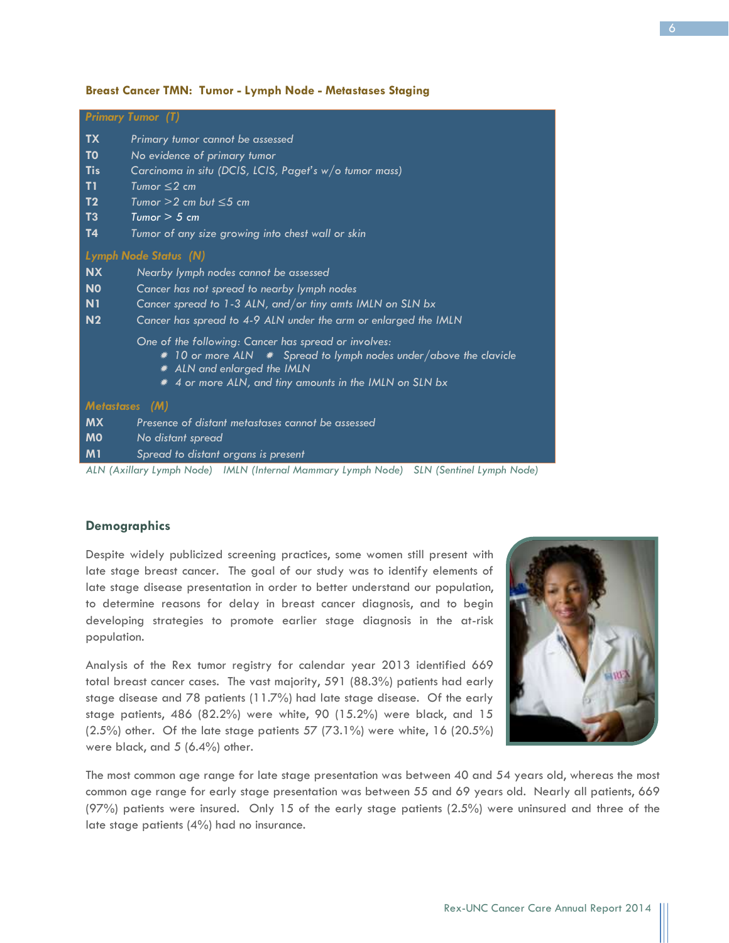# The most common age range for late stage presentation was between 40 and 54 years old, whereas the most common age range for early stage presentation was between 55 and 69 years old. Nearly all patients, 669 (97%) patients were insured. Only 15 of the early stage patients (2.5%) were uninsured and three of the late stage patients (4%) had no insurance.

#### **Breast Cancer TMN: Tumor - Lymph Node - Metastases Staging**

|                   | <b>Primary Tumor (T)</b>                                                                                                                                                                                              |
|-------------------|-----------------------------------------------------------------------------------------------------------------------------------------------------------------------------------------------------------------------|
| <b>TX</b>         | Primary tumor cannot be assessed                                                                                                                                                                                      |
| <b>TO</b>         | No evidence of primary tumor                                                                                                                                                                                          |
| <b>Tis</b>        | Carcinoma in situ (DCIS, LCIS, Paget's w/o tumor mass)                                                                                                                                                                |
| T1                | Tumor $\leq$ 2 cm                                                                                                                                                                                                     |
| T <sub>2</sub>    | Tumor $>2$ cm but $\leq$ 5 cm                                                                                                                                                                                         |
| T3                | Tumor $>$ 5 cm                                                                                                                                                                                                        |
| T <sub>4</sub>    | Tumor of any size growing into chest wall or skin                                                                                                                                                                     |
|                   | Lymph Node Status (N)                                                                                                                                                                                                 |
| <b>NX</b>         | Nearby lymph nodes cannot be assessed                                                                                                                                                                                 |
| <b>NO</b>         | Cancer has not spread to nearby lymph nodes                                                                                                                                                                           |
| N <sub>1</sub>    | Cancer spread to 1-3 ALN, and/or tiny amts IMLN on SLN bx                                                                                                                                                             |
| N <sub>2</sub>    | Cancer has spread to 4-9 ALN under the arm or enlarged the IMLN                                                                                                                                                       |
|                   | One of the following: Cancer has spread or involves:<br>$*$ 10 or more ALN $*$ Spread to lymph nodes under/above the clavicle<br>* ALN and enlarged the IMLN<br>4 or more ALN, and tiny amounts in the IMLN on SLN bx |
| <b>Metastases</b> | (M)                                                                                                                                                                                                                   |
| <b>MX</b>         | Presence of distant metastases cannot be assessed                                                                                                                                                                     |
| <b>MO</b>         | No distant spread                                                                                                                                                                                                     |
| M1                | Spread to distant organs is present                                                                                                                                                                                   |
|                   | ALN (Axillary Lymph Node) IMLN (Internal Mammary Lymph Node) SLN (Sentinel Lymph Node)                                                                                                                                |

#### **Demographics**

Despite widely publicized screening practices, some women still present with late stage breast cancer. The goal of our study was to identify elements of late stage disease presentation in order to better understand our population, to determine reasons for delay in breast cancer diagnosis, and to begin developing strategies to promote earlier stage diagnosis in the at-risk population.

Analysis of the Rex tumor registry for calendar year 2013 identified 669 total breast cancer cases. The vast majority, 591 (88.3%) patients had early stage disease and 78 patients (11.7%) had late stage disease. Of the early stage patients, 486 (82.2%) were white, 90 (15.2%) were black, and 15 (2.5%) other. Of the late stage patients 57 (73.1%) were white, 16 (20.5%) were black, and 5 (6.4%) other.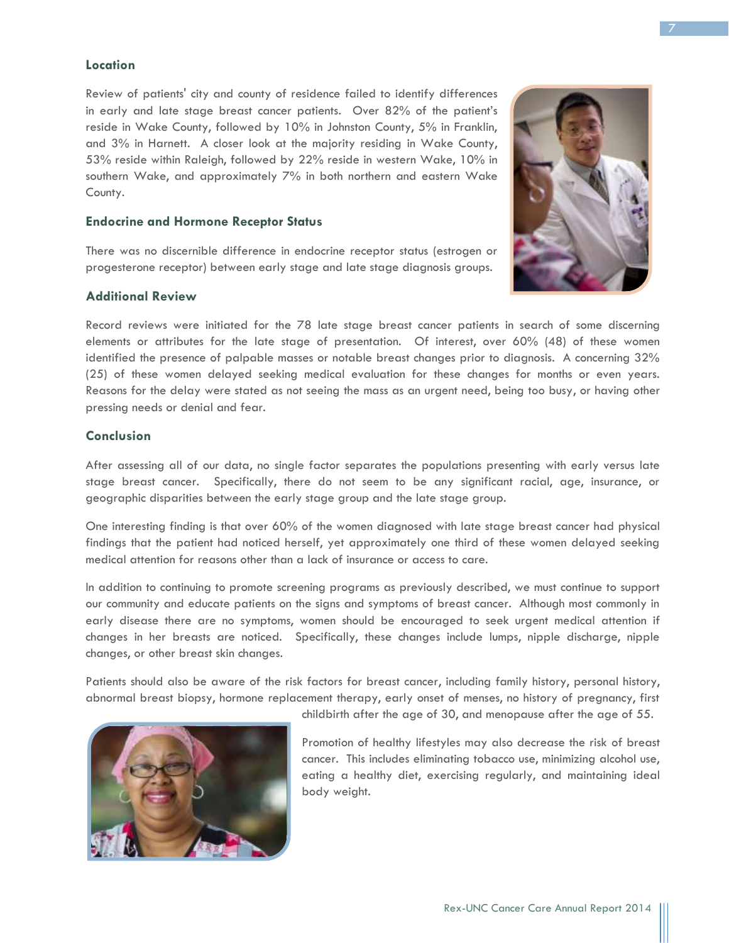#### **Location**

Review of patients' city and county of residence failed to identify differences in early and late stage breast cancer patients. Over 82% of the patient's reside in Wake County, followed by 10% in Johnston County, 5% in Franklin, and 3% in Harnett. A closer look at the majority residing in Wake County, 53% reside within Raleigh, followed by 22% reside in western Wake, 10% in southern Wake, and approximately 7% in both northern and eastern Wake County.

#### **Endocrine and Hormone Receptor Status**

There was no discernible difference in endocrine receptor status (estrogen or progesterone receptor) between early stage and late stage diagnosis groups.

#### **Additional Review**



Record reviews were initiated for the 78 late stage breast cancer patients in search of some discerning elements or attributes for the late stage of presentation. Of interest, over 60% (48) of these women identified the presence of palpable masses or notable breast changes prior to diagnosis. A concerning 32% (25) of these women delayed seeking medical evaluation for these changes for months or even years. Reasons for the delay were stated as not seeing the mass as an urgent need, being too busy, or having other pressing needs or denial and fear.

# **Conclusion**

After assessing all of our data, no single factor separates the populations presenting with early versus late stage breast cancer. Specifically, there do not seem to be any significant racial, age, insurance, or geographic disparities between the early stage group and the late stage group.

One interesting finding is that over 60% of the women diagnosed with late stage breast cancer had physical findings that the patient had noticed herself, yet approximately one third of these women delayed seeking medical attention for reasons other than a lack of insurance or access to care.

In addition to continuing to promote screening programs as previously described, we must continue to support our community and educate patients on the signs and symptoms of breast cancer. Although most commonly in early disease there are no symptoms, women should be encouraged to seek urgent medical attention if changes in her breasts are noticed. Specifically, these changes include lumps, nipple discharge, nipple changes, or other breast skin changes.

Patients should also be aware of the risk factors for breast cancer, including family history, personal history, abnormal breast biopsy, hormone replacement therapy, early onset of menses, no history of pregnancy, first



childbirth after the age of 30, and menopause after the age of 55.

Promotion of healthy lifestyles may also decrease the risk of breast cancer. This includes eliminating tobacco use, minimizing alcohol use, eating a healthy diet, exercising regularly, and maintaining ideal body weight.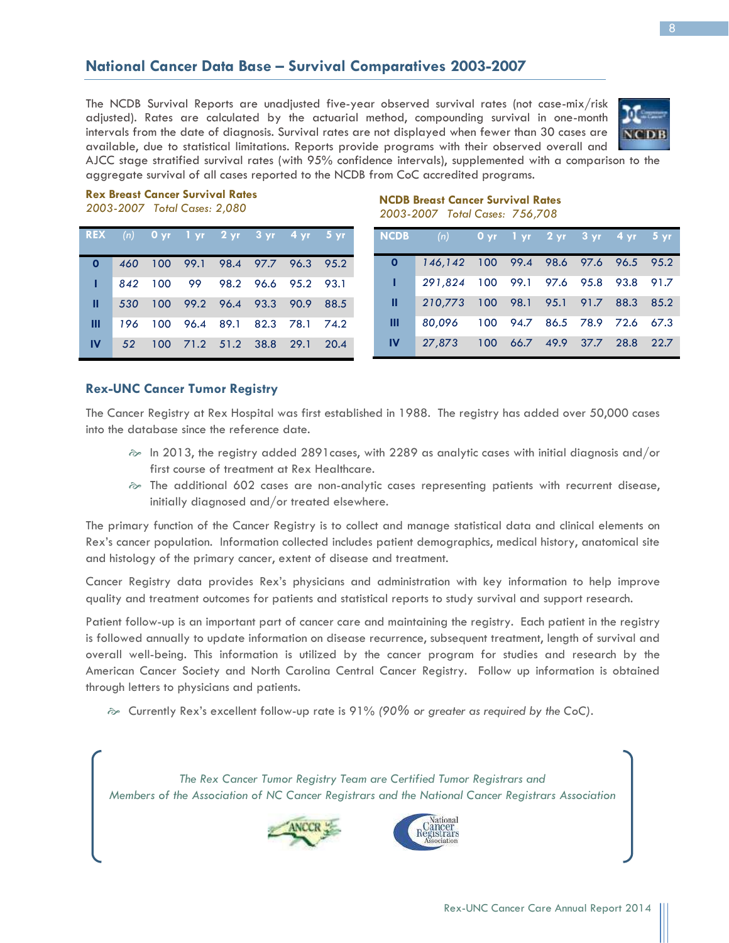# **National Cancer Data Base – Survival Comparatives 2003-2007**

The NCDB Survival Reports are unadjusted five-year observed survival rates (not case-mix/risk adjusted). Rates are calculated by the actuarial method, compounding survival in one-month intervals from the date of diagnosis. Survival rates are not displayed when fewer than 30 cases are available, due to statistical limitations. Reports provide programs with their observed overall and AJCC stage stratified survival rates (with 95% confidence intervals), supplemented with a comparison to the



aggregate survival of all cases reported to the NCDB from CoC accredited programs.

# **Rex Breast Cancer Survival Rates**

|   |  | REX (n) O yr 1 yr 2 yr 3 yr 4 yr 5 yr     |  |  |
|---|--|-------------------------------------------|--|--|
|   |  | 0 460 100 99.1 98.4 97.7 96.3 95.2        |  |  |
|   |  | 842 100 99 98.2 96.6 95.2 93.1            |  |  |
|   |  | II 530 100 99.2 96.4 93.3 90.9 88.5       |  |  |
| Ш |  | 196 100 96.4 89.1 82.3 78.1 74.2          |  |  |
|   |  | <b>IV</b> 52 100 71.2 51.2 38.8 29.1 20.4 |  |  |

#### *2003-2007 Total Cases: 2,080* **NCDB Breast Cancer Survival Rates** *2003-2007 Total Cases: 756,708*

| <b>NCDB</b>  | $(n)$ Oyr 1yr 2yr 3yr 4yr 5yr         |  |                              |  |  |
|--------------|---------------------------------------|--|------------------------------|--|--|
| $\mathbf{O}$ | 146, 142 100 99.4 98.6 97.6 96.5 95.2 |  |                              |  |  |
| T            | 291,824 100 99.1 97.6 95.8 93.8 91.7  |  |                              |  |  |
| Ш            | 210,773 100 98.1 95.1 91.7 88.3 85.2  |  |                              |  |  |
| Ш            | 80.096                                |  | 100 94.7 86.5 78.9 72.6 67.3 |  |  |
| <b>IV</b>    | 27,873                                |  | 100 66.7 49.9 37.7 28.8 22.7 |  |  |

# **Rex-UNC Cancer Tumor Registry**

The Cancer Registry at Rex Hospital was first established in 1988. The registry has added over 50,000 cases into the database since the reference date.

- $\gg$  In 2013, the registry added 2891 cases, with 2289 as analytic cases with initial diagnosis and/or first course of treatment at Rex Healthcare.
- $\gg$  The additional 602 cases are non-analytic cases representing patients with recurrent disease, initially diagnosed and/or treated elsewhere.

The primary function of the Cancer Registry is to collect and manage statistical data and clinical elements on Rex's cancer population. Information collected includes patient demographics, medical history, anatomical site and histology of the primary cancer, extent of disease and treatment.

Cancer Registry data provides Rex's physicians and administration with key information to help improve quality and treatment outcomes for patients and statistical reports to study survival and support research.

Patient follow-up is an important part of cancer care and maintaining the registry. Each patient in the registry is followed annually to update information on disease recurrence, subsequent treatment, length of survival and overall well-being. This information is utilized by the cancer program for studies and research by the American Cancer Society and North Carolina Central Cancer Registry. Follow up information is obtained through letters to physicians and patients.

Currently Rex's excellent follow-up rate is 91% *(90% or greater as required by the CoC).* 





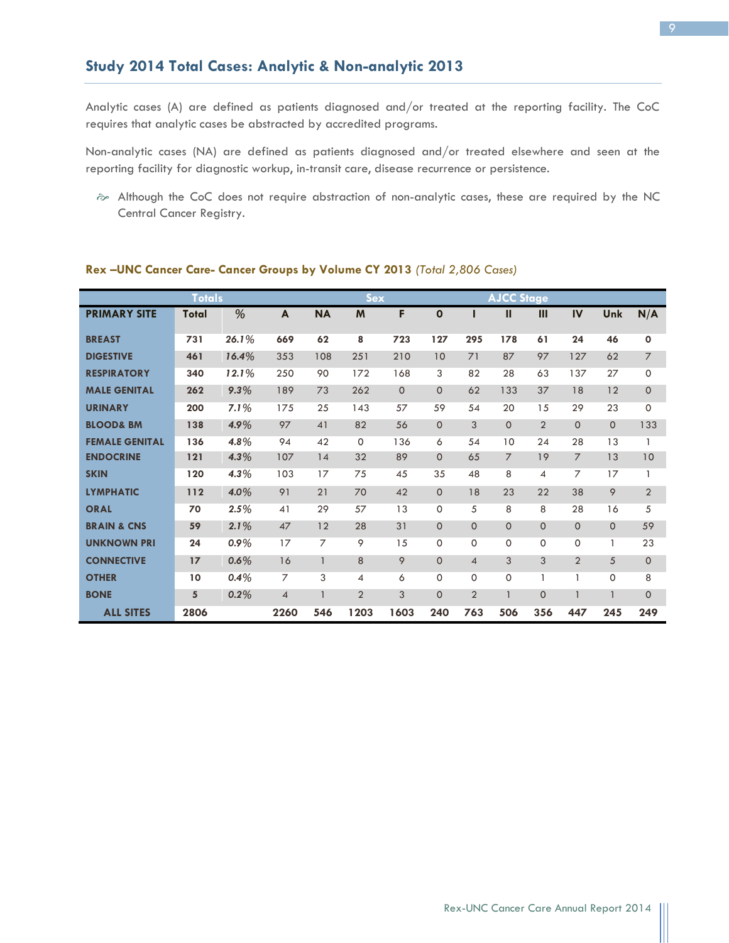Analytic cases (A) are defined as patients diagnosed and/or treated at the reporting facility. The CoC requires that analytic cases be abstracted by accredited programs.

Non-analytic cases (NA) are defined as patients diagnosed and/or treated elsewhere and seen at the reporting facility for diagnostic workup, in-transit care, disease recurrence or persistence.

 Although the CoC does not require abstraction of non-analytic cases, these are required by the NC Central Cancer Registry.

|                        | <b>Totals</b> |         |                |                | <b>Sex</b>     |          |              |                | <b>AJCC Stage</b> |                |                |              |                |
|------------------------|---------------|---------|----------------|----------------|----------------|----------|--------------|----------------|-------------------|----------------|----------------|--------------|----------------|
| <b>PRIMARY SITE</b>    | Total         | %       | A              | <b>NA</b>      | M              | F        | $\mathbf 0$  |                | Ш                 | Ш              | IV             | Unk          | N/A            |
| <b>BREAST</b>          | 731           | 26.1%   | 669            | 62             | 8              | 723      | 127          | 295            | 178               | 61             | 24             | 46           | $\mathbf o$    |
| <b>DIGESTIVE</b>       | 461           | 16.4%   | 353            | 108            | 251            | 210      | 10           | 71             | 87                | 97             | 127            | 62           | $\overline{7}$ |
| <b>RESPIRATORY</b>     | 340           | 12.1%   | 250            | 90             | 172            | 168      | 3            | 82             | 28                | 63             | 137            | 27           | $\mathbf 0$    |
| <b>MALE GENITAL</b>    | 262           | 9.3%    | 189            | 73             | 262            | $\Omega$ | $\Omega$     | 62             | 133               | 37             | 18             | 12           | $\overline{O}$ |
| URINARY                | 200           | 7.1%    | 175            | 25             | 143            | 57       | 59           | 54             | 20                | 15             | 29             | 23           | $\Omega$       |
| <b>BLOOD&amp; BM</b>   | 138           | 4.9%    | 97             | 41             | 82             | 56       | $\Omega$     | 3              | $\mathbf 0$       | $\overline{2}$ | $\Omega$       | $\mathbf{O}$ | 133            |
| <b>FEMALE GENITAL</b>  | 136           | 4.8%    | 94             | 42             | $\Omega$       | 136      | 6            | 54             | 10                | 24             | 28             | 13           | 1              |
| <b>ENDOCRINE</b>       | 121           | 4.3%    | 107            | 14             | 32             | 89       | $\Omega$     | 65             | $\overline{7}$    | 19             | $\overline{7}$ | 13           | 10             |
| <b>SKIN</b>            | 120           | 4.3%    | 103            | 17             | 75             | 45       | 35           | 48             | 8                 | 4              | 7              | 17           | 1              |
| <b>LYMPHATIC</b>       | 112           | 4.0%    | 91             | 21             | 70             | 42       | $\Omega$     | 18             | 23                | 22             | 38             | 9            | $\overline{2}$ |
| <b>ORAL</b>            | 70            | 2.5%    | 41             | 29             | 57             | 13       | $\mathbf{0}$ | 5              | 8                 | 8              | 28             | 16           | 5              |
| <b>BRAIN &amp; CNS</b> | 59            | $2.1\%$ | 47             | 12             | 28             | 31       | $\Omega$     | $\overline{0}$ | $\overline{0}$    | $\Omega$       | $\Omega$       | $\mathbf{O}$ | 59             |
| <b>UNKNOWN PRI</b>     | 24            | $0.9\%$ | 17             | $\overline{7}$ | 9              | 15       | $\Omega$     | $\Omega$       | $\Omega$          | $\Omega$       | $\Omega$       |              | 23             |
| <b>CONNECTIVE</b>      | 17            | 0.6%    | 16             | $\overline{1}$ | 8              | 9        | $\Omega$     | $\overline{4}$ | 3                 | 3              | $\overline{2}$ | 5            | $\overline{O}$ |
| <b>OTHER</b>           | 10            | 0.4%    | $\overline{7}$ | 3              | 4              | 6        | $\Omega$     | $\circ$        | 0                 | $\mathbf{1}$   | $\mathbf{1}$   | 0            | 8              |
| <b>BONE</b>            | 5             | 0.2%    | $\overline{4}$ | $\mathbf{1}$   | $\overline{2}$ | 3        | $\Omega$     | $\overline{2}$ | $\mathbf{1}$      | $\Omega$       | $\mathbf{1}$   | $\mathbf{1}$ | $\overline{0}$ |
| <b>ALL SITES</b>       | 2806          |         | 2260           | 546            | 1203           | 1603     | 240          | 763            | 506               | 356            | 447            | 245          | 249            |

#### **Rex –UNC Cancer Care- Cancer Groups by Volume CY 2013** *(Total 2,806 Cases)*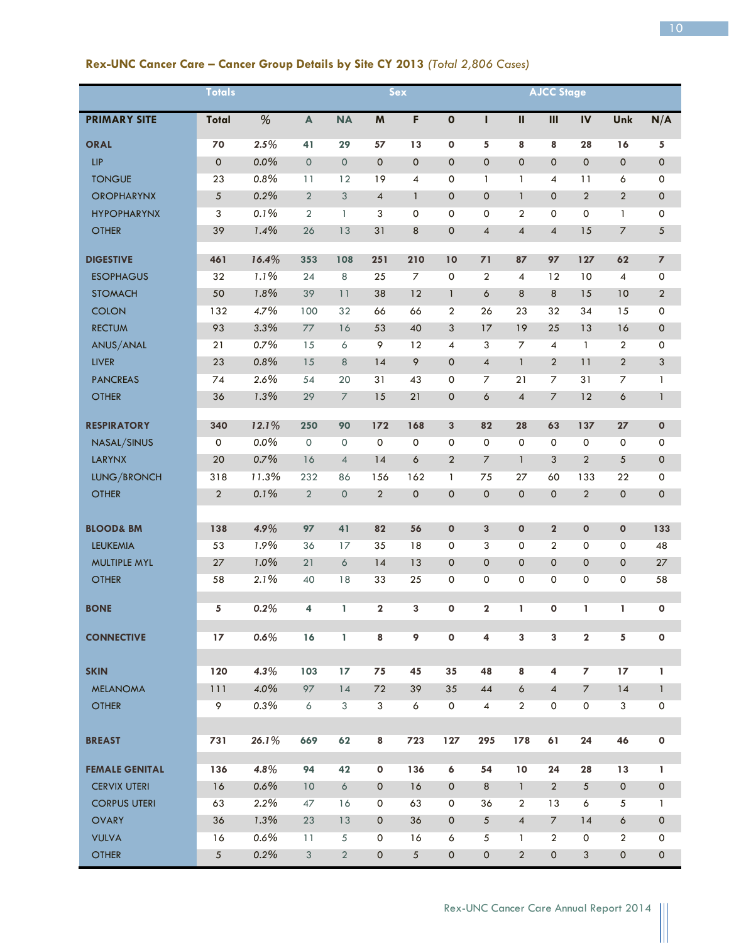|                       | <b>Totals</b>       |         |                           |                     |                           | Sex                 |                     |                     |                     | <b>AJCC Stage</b>   |                          |                     |                         |
|-----------------------|---------------------|---------|---------------------------|---------------------|---------------------------|---------------------|---------------------|---------------------|---------------------|---------------------|--------------------------|---------------------|-------------------------|
| <b>PRIMARY SITE</b>   | Total               | %       | $\boldsymbol{\mathsf{A}}$ | <b>NA</b>           | $\boldsymbol{\mathsf{M}}$ | $\mathsf F$         | $\pmb{\mathsf{O}}$  | ı                   | $\mathbf{II}$       | III                 | ${\sf IV}$               | Unk                 | N/A                     |
| <b>ORAL</b>           | 70                  | 2.5%    | 41                        | 29                  | 57                        | 13                  | 0                   | 5                   | 8                   | 8                   | 28                       | 16                  | 5                       |
| <b>LIP</b>            | $\mathsf{O}\xspace$ | $0.0\%$ | $\mathbf 0$               | $\overline{0}$      | $\mathbf 0$               | $\mathsf{O}\xspace$ | 0                   | $\mathsf{O}\xspace$ | $\overline{0}$      | $\mathsf{O}$        | $\mathbf 0$              | $\mathbf 0$         | $\mathsf{O}\xspace$     |
| <b>TONGUE</b>         | 23                  | 0.8%    | 11                        | 12                  | 19                        | $\overline{4}$      | 0                   | $\mathbf{1}$        | $\mathbf{1}$        | $\overline{4}$      | 11                       | 6                   | $\mathsf{O}\xspace$     |
| <b>OROPHARYNX</b>     | $\sqrt{5}$          | 0.2%    | $\overline{2}$            | 3                   | $\overline{4}$            | $\mathbf{1}$        | 0                   | $\mathbf 0$         | $\mathbf{1}$        | 0                   | $\overline{2}$           | $\boldsymbol{2}$    | $\mathsf{O}\xspace$     |
| <b>HYPOPHARYNX</b>    | 3                   | 0.1%    | $\overline{2}$            | $\mathbf{1}$        | 3                         | 0                   | 0                   | 0                   | $\overline{2}$      | $\mathsf{o}$        | $\mathsf{O}\xspace$      | $\mathbf{1}$        | $\mathsf{O}\xspace$     |
| <b>OTHER</b>          | 39                  | 1.4%    | 26                        | 13                  | 31                        | 8                   | 0                   | $\pmb{4}$           | $\overline{4}$      | $\overline{4}$      | 15                       | $\overline{7}$      | $\sqrt{5}$              |
| <b>DIGESTIVE</b>      | 461                 | 16.4%   | 353                       | 108                 | 251                       | 210                 | 10                  | 71                  | 87                  | 97                  | $127$                    | 62                  | $\overline{\mathbf{7}}$ |
| <b>ESOPHAGUS</b>      | 32                  | 1.1%    | 24                        | 8                   | 25                        | $\overline{7}$      | 0                   | $\overline{2}$      | 4                   | 12                  | 10                       | $\overline{4}$      | $\mathsf{O}\xspace$     |
| <b>STOMACH</b>        | 50                  | 1.8%    | 39                        | 11                  | 38                        | 12                  | 1                   | $\pmb{\delta}$      | 8                   | 8                   | 15                       | 10                  | $\sqrt{2}$              |
| <b>COLON</b>          | 132                 | 4.7%    | 100                       | 32                  | 66                        | 66                  | 2                   | 26                  | 23                  | 32                  | 34                       | 15                  | $\mathsf{O}\xspace$     |
| <b>RECTUM</b>         | 93                  | 3.3%    | $77\,$                    | 16                  | 53                        | 40                  | 3                   | 17                  | 19                  | 25                  | 13                       | 16                  | $\mathsf{O}\xspace$     |
| ANUS/ANAL             | 21                  | 0.7%    | 15                        | 6                   | 9                         | 12                  | 4                   | 3                   | $\overline{7}$      | $\overline{4}$      | $\mathbf{1}$             | $\overline{2}$      | 0                       |
| <b>LIVER</b>          | 23                  | 0.8%    | 15                        | 8                   | 14                        | 9                   | 0                   | $\overline{4}$      | $\mathbf{1}$        | $\overline{2}$      | 11                       | $\sqrt{2}$          | 3                       |
| <b>PANCREAS</b>       | 74                  | 2.6%    | 54                        | 20                  | 31                        | 43                  | 0                   | $\overline{7}$      | 21                  | $\overline{7}$      | 31                       | 7                   | 1                       |
| <b>OTHER</b>          | 36                  | 1.3%    | 29                        | $\overline{7}$      | 15                        | 21                  | 0                   | 6                   | $\overline{4}$      | $\overline{7}$      | 12                       | 6                   | $\mathbf{1}$            |
| <b>RESPIRATORY</b>    | 340                 | 12.1%   | 250                       | 90                  | 172                       | 168                 | 3                   | 82                  | 28                  | 63                  | 137                      | 27                  | $\pmb{\mathsf{O}}$      |
| NASAL/SINUS           | $\mathsf{o}$        | $0.0\%$ | $\mathsf{O}\xspace$       | $\mathsf{O}\xspace$ | $\mathsf{O}\xspace$       | 0                   | 0                   | $\mathsf{O}\xspace$ | $\mathbf 0$         | $\mathbf 0$         | $\mathsf{O}\xspace$      | $\mathbf 0$         | $\mathsf{o}$            |
| <b>LARYNX</b>         | 20                  | 0.7%    | 16                        | $\overline{4}$      | 14                        | 6                   | $\overline{2}$      | $\boldsymbol{7}$    | 1                   | 3                   | $\overline{2}$           | 5                   | $\mathsf{O}\xspace$     |
| LUNG/BRONCH           | 318                 | 11.3%   | 232                       | 86                  | 156                       | 162                 | 1                   | 75                  | 27                  | 60                  | 133                      | 22                  | $\mathsf{O}\xspace$     |
| <b>OTHER</b>          | $\overline{2}$      | 0.1%    | $\overline{2}$            | $\mathsf{O}\xspace$ | $\overline{2}$            | $\mathsf{O}\xspace$ | $\mathsf{O}\xspace$ | $\mathsf{O}\xspace$ | $\mathsf{O}\xspace$ | $\mathsf{O}\xspace$ | $\overline{2}$           | $\mathsf{O}\xspace$ | $\mathsf{O}\xspace$     |
| <b>BLOOD&amp; BM</b>  | 138                 | 4.9%    | 97                        | 41                  | 82                        | 56                  | $\pmb{\mathsf{O}}$  | 3                   | $\mathbf 0$         | $\mathbf{2}$        | $\mathbf 0$              | $\mathbf 0$         | 133                     |
| <b>LEUKEMIA</b>       | 53                  | 1.9%    | 36                        | 17                  | 35                        | 18                  | 0                   | 3                   | 0                   | $\overline{2}$      | 0                        | 0                   | 48                      |
| MULTIPLE MYL          | 27                  | 1.0%    | 21                        | $\delta$            | 14                        | 13                  | 0                   | $\mathsf{O}\xspace$ | $\mathsf{O}$        | $\mathsf{O}$        | $\mathbf 0$              | $\mathbf 0$         | 27                      |
| <b>OTHER</b>          | 58                  | 2.1%    | 40                        | 18                  | 33                        | 25                  | 0                   | $\mathsf{O}\xspace$ | 0                   | 0                   | 0                        | 0                   | 58                      |
| <b>BONE</b>           | 5                   | 0.2%    | $\overline{\mathbf{4}}$   | 1                   | $\overline{2}$            | 3                   | 0                   | $\mathbf 2$         | $\mathbf{I}$        | 0                   | 1                        | $\mathbf{I}$        | $\mathbf 0$             |
| <b>CONNECTIVE</b>     | 17                  | 0.6%    | 16                        | $\mathbf{1}$        | 8                         | 9                   | $\mathbf{o}$        | 4                   | $\overline{3}$      | 3                   | $\overline{2}$           | 5                   | $\mathbf 0$             |
|                       |                     |         |                           |                     |                           |                     |                     |                     |                     |                     |                          |                     |                         |
| <b>SKIN</b>           | 120                 | 4.3%    | 103                       | 17                  | 75                        | 45                  | 35                  | 48                  | 8                   | 4                   | $\overline{\phantom{a}}$ | 17                  | 1.                      |
| <b>MELANOMA</b>       | 111                 | 4.0%    | 97                        | 14                  | 72                        | 39                  | 35                  | 44                  | 6                   | $\overline{4}$      | $\overline{7}$           | 14                  | $\mathbf{1}$            |
| <b>OTHER</b>          | 9                   | 0.3%    | 6                         | 3                   | 3                         | 6                   | 0                   | 4                   | $\overline{2}$      | 0                   | $\mathbf 0$              | 3                   | $\mathsf{o}$            |
| <b>BREAST</b>         | 731                 | 26.1%   | 669                       | 62                  | 8                         | 723                 | 127                 | 295                 | 178                 | 61                  | 24                       | 46                  | $\mathbf 0$             |
| <b>FEMALE GENITAL</b> | 136                 | 4.8%    | 94                        | 42                  | $\mathbf 0$               | 136                 | 6                   | 54                  | 10                  | 24                  | 28                       | 13                  | 1.                      |
| <b>CERVIX UTERI</b>   | 16                  | $0.6\%$ | 10                        | 6                   | $\mathbf{O}$              | 16                  | $\mathsf{O}$        | 8                   | $\mathbf{1}$        | $\overline{2}$      | 5                        | $\mathbf 0$         | $\mathsf{O}\xspace$     |
| <b>CORPUS UTERI</b>   | 63                  | $2.2\%$ | 47                        | 16                  | 0                         | 63                  | 0                   | 36                  | $\overline{2}$      | 13                  | 6                        | 5                   | 1                       |
| <b>OVARY</b>          | 36                  | 1.3%    | 23                        | 13                  | $\mathbf{0}$              | 36                  | $\mathbf 0$         | 5                   | $\overline{4}$      | $\overline{7}$      | 14                       | 6                   | $\mathbf 0$             |
| <b>VULVA</b>          | 16                  | $0.6\%$ | 11                        | 5                   | $\mathbf 0$               | 16                  | 6                   | 5                   | $\mathbf{1}$        | $\overline{2}$      | 0                        | $\overline{2}$      | $\mathsf{o}$            |
| <b>OTHER</b>          | $\sqrt{5}$          | 0.2%    | 3                         | $\overline{2}$      | $\mathbf 0$               | 5                   | $\mathsf{O}\xspace$ | $\mathsf O$         | $\overline{2}$      | $\mathsf{O}\xspace$ | 3                        | $\mathsf{O}\xspace$ | $\mathsf{O}\xspace$     |

# **Rex-UNC Cancer Care – Cancer Group Details by Site CY 2013** *(Total 2,806 Cases)*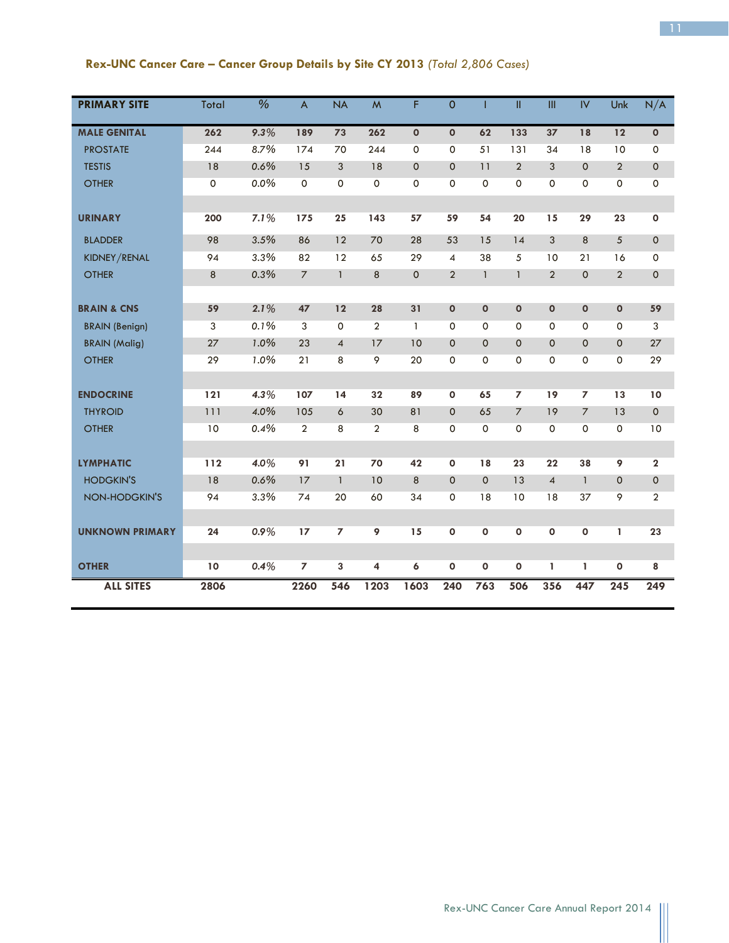# **Rex-UNC Cancer Care – Cancer Group Details by Site CY 2013** *(Total 2,806 Cases)*

| <b>PRIMARY SITE</b>    | Total | $\overline{\frac{9}{6}}$ | $\overline{A}$ | <b>NA</b>      | M              | F            | $\overline{0}$ | Т              | Ш              | $\mathbf{III}$ | $\overline{N}$ | Unk            | N/A            |
|------------------------|-------|--------------------------|----------------|----------------|----------------|--------------|----------------|----------------|----------------|----------------|----------------|----------------|----------------|
| <b>MALE GENITAL</b>    | 262   | 9.3%                     | 189            | 73             | 262            | $\mathbf{o}$ | $\mathbf{o}$   | 62             | 133            | 37             | 18             | 12             | $\mathbf 0$    |
| <b>PROSTATE</b>        | 244   | 8.7%                     | 174            | 70             | 244            | 0            | 0              | 51             | 131            | 34             | 18             | 10             | 0              |
| <b>TESTIS</b>          | 18    | 0.6%                     | 15             | 3              | 18             | 0            | $\mathsf{O}$   | 11             | $\overline{2}$ | 3              | $\mathbf 0$    | $\overline{2}$ | 0              |
| <b>OTHER</b>           | 0     | 0.0%                     | $\mathbf 0$    | 0              | $\mathbf 0$    | 0            | 0              | 0              | 0              | $\mathbf 0$    | 0              | 0              | 0              |
|                        |       |                          |                |                |                |              |                |                |                |                |                |                |                |
| <b>URINARY</b>         | 200   | 7.1%                     | 175            | 25             | 143            | 57           | 59             | 54             | 20             | 15             | 29             | 23             | $\mathbf 0$    |
| <b>BLADDER</b>         | 98    | 3.5%                     | 86             | 12             | 70             | 28           | 53             | 15             | 14             | 3              | 8              | 5              | 0              |
| KIDNEY/RENAL           | 94    | 3.3%                     | 82             | 12             | 65             | 29           | $\overline{4}$ | 38             | 5              | 10             | 21             | 16             | 0              |
| <b>OTHER</b>           | 8     | 0.3%                     | $\overline{7}$ | $\mathbf{1}$   | 8              | $\mathbf{O}$ | $\overline{2}$ | $\mathbf{1}$   | $\mathbf{1}$   | $\overline{2}$ | $\mathbf 0$    | $\overline{2}$ | 0              |
|                        |       |                          |                |                |                |              |                |                |                |                |                |                |                |
| <b>BRAIN &amp; CNS</b> | 59    | 2.1%                     | 47             | 12             | 28             | 31           | $\mathbf 0$    | $\mathbf 0$    | $\mathbf 0$    | $\mathbf{o}$   | $\mathbf 0$    | $\mathbf{o}$   | 59             |
| <b>BRAIN</b> (Benign)  | 3     | 0.1%                     | 3              | $\mathbf 0$    | $\overline{2}$ | $\mathbf{1}$ | 0              | $\Omega$       | 0              | 0              | 0              | $\mathsf{O}$   | 3              |
| <b>BRAIN (Malig)</b>   | 27    | 1.0%                     | 23             | $\overline{4}$ | 17             | 10           | $\mathbf 0$    | $\mathbf{O}$   | $\mathbf 0$    | $\mathbf 0$    | $\mathbf 0$    | $\mathsf{O}$   | 27             |
| <b>OTHER</b>           | 29    | 1.0%                     | 21             | 8              | 9              | 20           | 0              | $\Omega$       | 0              | $\Omega$       | 0              | $\mathsf{o}$   | 29             |
|                        |       |                          |                |                |                |              |                |                |                |                |                |                |                |
| <b>ENDOCRINE</b>       | 121   | 4.3%                     | 107            | 14             | 32             | 89           | 0              | 65             | 7              | 19             | $\overline{7}$ | 13             | 10             |
| <b>THYROID</b>         | 111   | 4.0%                     | 105            | 6              | 30             | 81           | $\mathbf{O}$   | 65             | $\overline{7}$ | 19             | $\overline{7}$ | 13             | $\mathbf 0$    |
| <b>OTHER</b>           | 10    | 0.4%                     | $\overline{2}$ | 8              | $\overline{2}$ | 8            | 0              | $\overline{O}$ | $\Omega$       | $\overline{0}$ | 0              | $\mathsf{o}$   | 10             |
|                        |       |                          |                |                |                |              |                |                |                |                |                |                |                |
| <b>LYMPHATIC</b>       | 112   | 4.0%                     | 91             | 21             | 70             | 42           | 0              | 18             | 23             | 22             | 38             | 9              | $\mathbf 2$    |
| <b>HODGKIN'S</b>       | 18    | 0.6%                     | 17             | $\mathbf{1}$   | 10             | 8            | $\Omega$       | $\Omega$       | 13             | $\overline{4}$ | $\mathbf{1}$   | $\mathsf{O}$   | 0              |
| NON-HODGKIN'S          | 94    | 3.3%                     | 74             | 20             | 60             | 34           | 0              | 18             | 10             | 18             | 37             | 9              | $\overline{a}$ |
|                        |       |                          |                |                |                |              |                |                |                |                |                |                |                |
| <b>UNKNOWN PRIMARY</b> | 24    | 0.9%                     | 17             | $\overline{ }$ | 9              | 15           | 0              | $\mathbf 0$    | 0              | $\mathbf 0$    | 0              | 1              | 23             |
| <b>OTHER</b>           | 10    | 0.4%                     | $\overline{z}$ | $\mathbf 3$    | 4              | 6            | $\mathbf o$    | $\mathbf 0$    | $\mathbf o$    | 1              | 1              | 0              | 8              |
| <b>ALL SITES</b>       | 2806  |                          | 2260           | 546            | 1203           | 1603         | 240            | 763            | 506            | 356            | 447            | 245            | 249            |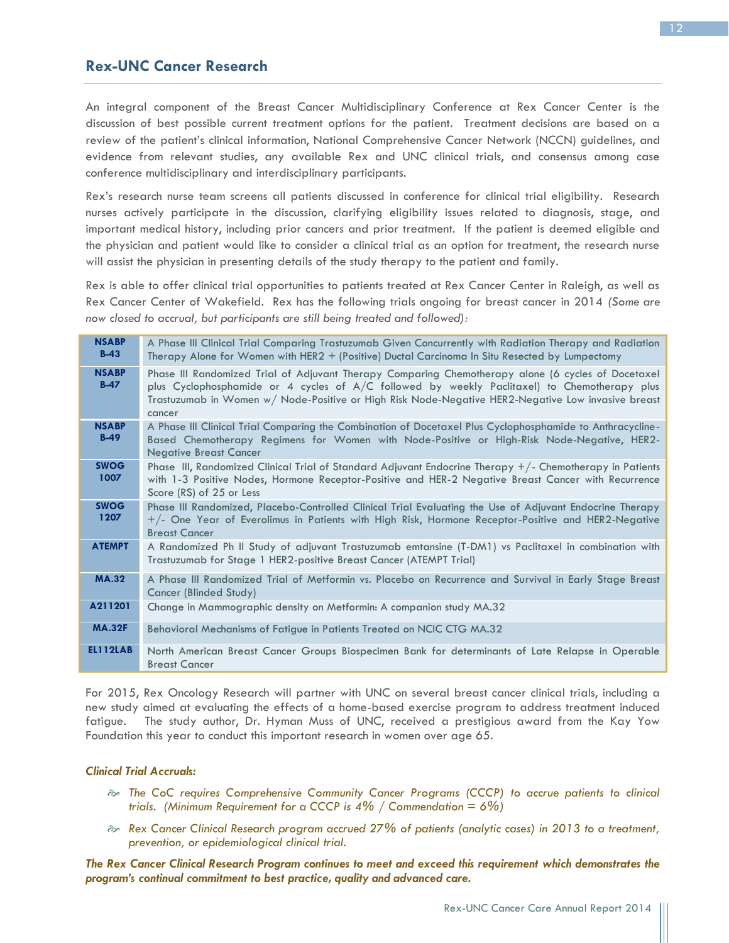An integral component of the Breast Cancer Multidisciplinary Conference at Rex Cancer Center is the discussion of best possible current treatment options for the patient. Treatment decisions are based on a review of the patient's clinical information, National Comprehensive Cancer Network (NCCN) guidelines, and evidence from relevant studies, any available Rex and UNC clinical trials, and consensus among case conference multidisciplinary and interdisciplinary participants.

Rex's research nurse team screens all patients discussed in conference for clinical trial eligibility. Research nurses actively participate in the discussion, clarifying eligibility issues related to diagnosis, stage, and important medical history, including prior cancers and prior treatment. If the patient is deemed eligible and the physician and patient would like to consider a clinical trial as an option for treatment, the research nurse will assist the physician in presenting details of the study therapy to the patient and family.

Rex is able to offer clinical trial opportunities to patients treated at Rex Cancer Center in Raleigh, as well as Rex Cancer Center of Wakefield. Rex has the following trials ongoing for breast cancer in 2014 *(Some are now closed to accrual, but participants are still being treated and followed):*

| <b>NSABP</b><br>$B-43$ | A Phase III Clinical Trial Comparing Trastuzumab Given Concurrently with Radiation Therapy and Radiation<br>Therapy Alone for Women with HER2 + (Positive) Ductal Carcinoma In Situ Resected by Lumpectomy                                                                                                         |
|------------------------|--------------------------------------------------------------------------------------------------------------------------------------------------------------------------------------------------------------------------------------------------------------------------------------------------------------------|
| <b>NSABP</b><br>$B-47$ | Phase III Randomized Trial of Adjuvant Therapy Comparing Chemotherapy alone (6 cycles of Docetaxel<br>plus Cyclophosphamide or 4 cycles of A/C followed by weekly Paclitaxel) to Chemotherapy plus<br>Trastuzumab in Women w/ Node-Positive or High Risk Node-Negative HER2-Negative Low invasive breast<br>cancer |
| <b>NSABP</b><br>$B-49$ | A Phase III Clinical Trial Comparing the Combination of Docetaxel Plus Cyclophosphamide to Anthracycline-<br>Based Chemotherapy Regimens for Women with Node-Positive or High-Risk Node-Negative, HER2-<br><b>Negative Breast Cancer</b>                                                                           |
| <b>SWOG</b><br>1007    | Phase III, Randomized Clinical Trial of Standard Adjuvant Endocrine Therapy $+/-$ Chemotherapy in Patients<br>with 1-3 Positive Nodes, Hormone Receptor-Positive and HER-2 Negative Breast Cancer with Recurrence<br>Score (RS) of 25 or Less                                                                      |
| <b>SWOG</b><br>1207    | Phase III Randomized, Placebo-Controlled Clinical Trial Evaluating the Use of Adjuvant Endocrine Therapy<br>+/- One Year of Everolimus in Patients with High Risk, Hormone Receptor-Positive and HER2-Negative<br><b>Breast Cancer</b>                                                                             |
| <b>ATEMPT</b>          | A Randomized Ph II Study of adjuvant Trastuzumab emtansine (T-DM1) vs Paclitaxel in combination with<br>Trastuzumab for Stage 1 HER2-positive Breast Cancer (ATEMPT Trial)                                                                                                                                         |
| <b>MA.32</b>           | A Phase III Randomized Trial of Metformin vs. Placebo on Recurrence and Survival in Early Stage Breast<br>Cancer (Blinded Study)                                                                                                                                                                                   |
| A211201                | Change in Mammographic density on Metformin: A companion study MA.32                                                                                                                                                                                                                                               |
| <b>MA.32F</b>          | Behavioral Mechanisms of Fatigue in Patients Treated on NCIC CTG MA.32                                                                                                                                                                                                                                             |
| <b>EL112LAB</b>        | North American Breast Cancer Groups Biospecimen Bank for determinants of Late Relapse in Operable<br><b>Breast Cancer</b>                                                                                                                                                                                          |

For 2015, Rex Oncology Research will partner with UNC on several breast cancer clinical trials, including a new study aimed at evaluating the effects of a home-based exercise program to address treatment induced fatigue. The study author, Dr. Hyman Muss of UNC, received a prestigious award from the Kay Yow Foundation this year to conduct this important research in women over age 65.

#### *Clinical Trial Accruals:*

- *The CoC requires Comprehensive Community Cancer Programs (CCCP) to accrue patients to clinical trials. (Minimum Requirement for a CCCP is 4% / Commendation = 6%)*
- *Rex Cancer Clinical Research program accrued 27% of patients (analytic cases) in 2013 to a treatment, prevention, or epidemiological clinical trial.*

*The Rex Cancer Clinical Research Program continues to meet and exceed this requirement which demonstrates the program's continual commitment to best practice, quality and advanced care.*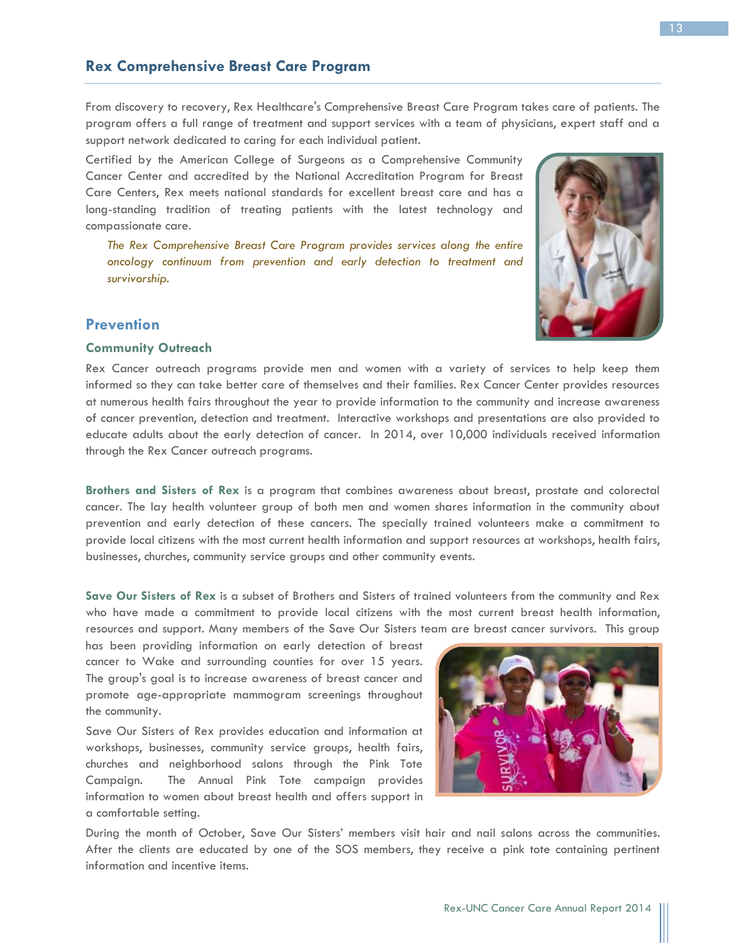# **Rex Comprehensive Breast Care Program**

From discovery to recovery, Rex Healthcare's Comprehensive Breast Care Program takes care of patients. The program offers a full range of treatment and support services with a team of physicians, expert staff and a support network dedicated to caring for each individual patient.

Certified by the American College of Surgeons as a Comprehensive Community Cancer Center and accredited by the National Accreditation Program for Breast Care Centers, Rex meets national standards for excellent breast care and has a long-standing tradition of treating patients with the latest technology and compassionate care.

*The Rex Comprehensive Breast Care Program provides services along the entire oncology continuum from prevention and early detection to treatment and survivorship.* 

Rex Cancer outreach programs provide men and women with a variety of services to help keep them informed so they can take better care of themselves and their families. Rex Cancer Center provides resources at numerous health fairs throughout the year to provide information to the community and increase awareness of cancer prevention, detection and treatment. Interactive workshops and presentations are also provided to educate adults about the early detection of cancer. In 2014, over 10,000 individuals received information through the Rex Cancer outreach programs.

**Brothers and Sisters of Rex** is a program that combines awareness about breast, prostate and colorectal cancer. The lay health volunteer group of both men and women shares information in the community about prevention and early detection of these cancers. The specially trained volunteers make a commitment to provide local citizens with the most current health information and support resources at workshops, health fairs, businesses, churches, community service groups and other community events.

**Save Our Sisters of Rex** is a subset of Brothers and Sisters of trained volunteers from the community and Rex who have made a commitment to provide local citizens with the most current breast health information, resources and support. Many members of the Save Our Sisters team are breast cancer survivors. This group

has been providing information on early detection of breast cancer to Wake and surrounding counties for over 15 years. The group's goal is to increase awareness of breast cancer and promote age-appropriate mammogram screenings throughout the community.

Save Our Sisters of Rex provides education and information at workshops, businesses, community service groups, health fairs, churches and neighborhood salons through the Pink Tote Campaign. The Annual Pink Tote campaign provides information to women about breast health and offers support in a comfortable setting.

During the month of October, Save Our Sisters' members visit hair and nail salons across the communities. After the clients are educated by one of the SOS members, they receive a pink tote containing pertinent information and incentive items.



Rex-UNC Cancer Care Annual Report 2014



# **Prevention**

#### **Community Outreach**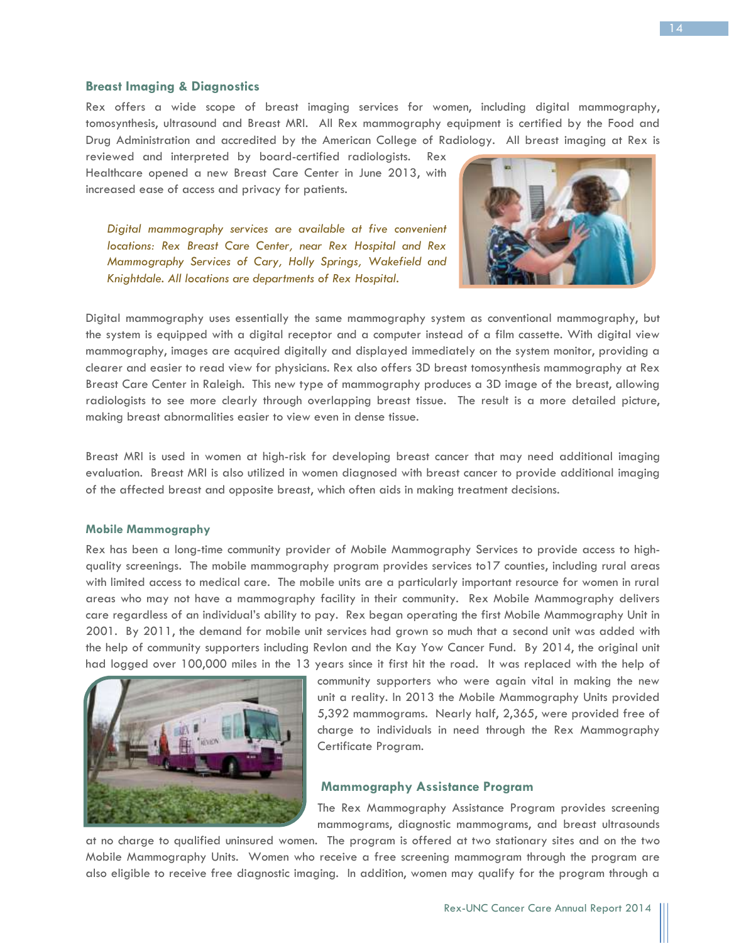#### **Breast Imaging & Diagnostics**

Rex offers a wide scope of breast imaging services for women, including digital mammography, tomosynthesis, ultrasound and Breast MRI. All Rex mammography equipment is certified by the Food and Drug Administration and accredited by the American College of Radiology. All breast imaging at Rex is

reviewed and interpreted by board-certified radiologists. Rex Healthcare opened a new Breast Care Center in June 2013, with increased ease of access and privacy for patients.

*Digital mammography services are available at five convenient locations: Rex Breast Care Center, near Rex Hospital and Rex Mammography Services of Cary, Holly Springs, Wakefield and Knightdale. All locations are departments of Rex Hospital.* 



Digital mammography uses essentially the same mammography system as conventional mammography, but the system is equipped with a digital receptor and a computer instead of a film cassette. With digital view mammography, images are acquired digitally and displayed immediately on the system monitor, providing a clearer and easier to read view for physicians. Rex also offers 3D breast tomosynthesis mammography at Rex Breast Care Center in Raleigh. This new type of mammography produces a 3D image of the breast, allowing radiologists to see more clearly through overlapping breast tissue. The result is a more detailed picture, making breast abnormalities easier to view even in dense tissue.

Breast MRI is used in women at high-risk for developing breast cancer that may need additional imaging evaluation. Breast MRI is also utilized in women diagnosed with breast cancer to provide additional imaging of the affected breast and opposite breast, which often aids in making treatment decisions.

#### **Mobile Mammography**

Rex has been a long-time community provider of Mobile Mammography Services to provide access to highquality screenings. The mobile mammography program provides services to17 counties, including rural areas with limited access to medical care. The mobile units are a particularly important resource for women in rural areas who may not have a mammography facility in their community. Rex Mobile Mammography delivers care regardless of an individual's ability to pay. Rex began operating the first Mobile Mammography Unit in 2001. By 2011, the demand for mobile unit services had grown so much that a second unit was added with the help of community supporters including Revlon and the Kay Yow Cancer Fund. By 2014, the original unit had logged over 100,000 miles in the 13 years since it first hit the road. It was replaced with the help of



community supporters who were again vital in making the new unit a reality. In 2013 the Mobile Mammography Units provided 5,392 mammograms. Nearly half, 2,365, were provided free of charge to individuals in need through the Rex Mammography Certificate Program.

#### **Mammography Assistance Program**

The Rex Mammography Assistance Program provides screening mammograms, diagnostic mammograms, and breast ultrasounds

at no charge to qualified uninsured women. The program is offered at two stationary sites and on the two Mobile Mammography Units. Women who receive a free screening mammogram through the program are also eligible to receive free diagnostic imaging. In addition, women may qualify for the program through a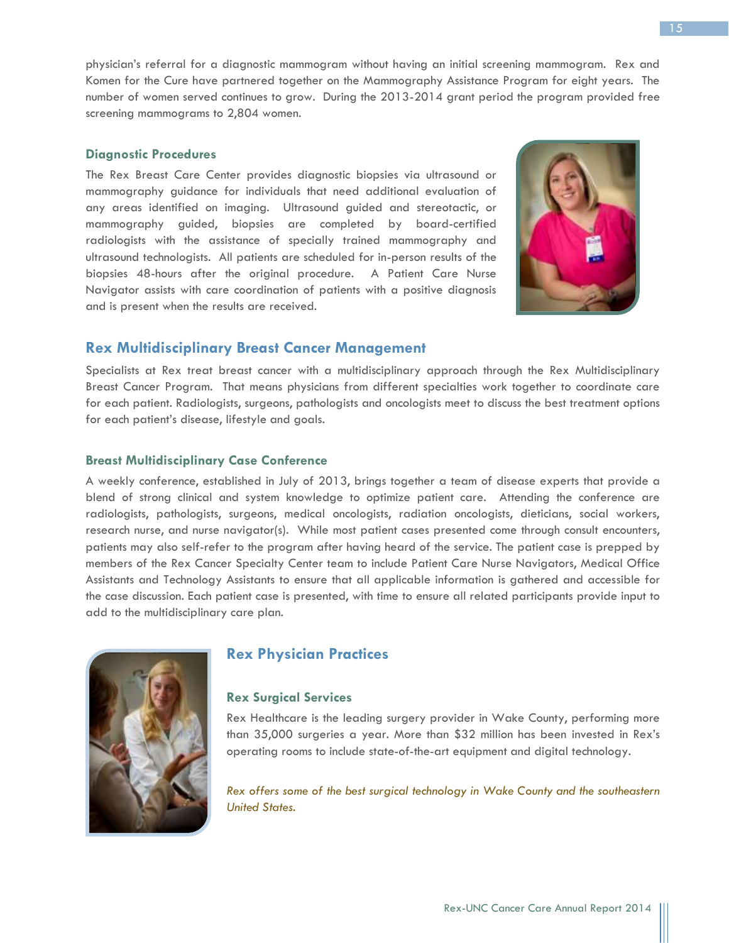physician's referral for a diagnostic mammogram without having an initial screening mammogram. Rex and Komen for the Cure have partnered together on the Mammography Assistance Program for eight years. The number of women served continues to grow. During the 2013-2014 grant period the program provided free screening mammograms to 2,804 women.

#### **Diagnostic Procedures**

The Rex Breast Care Center provides diagnostic biopsies via ultrasound or mammography guidance for individuals that need additional evaluation of any areas identified on imaging. Ultrasound guided and stereotactic, or mammography guided, biopsies are completed by board-certified radiologists with the assistance of specially trained mammography and ultrasound technologists. All patients are scheduled for in-person results of the biopsies 48-hours after the original procedure. A Patient Care Nurse Navigator assists with care coordination of patients with a positive diagnosis and is present when the results are received.



# **Rex Multidisciplinary Breast Cancer Management**

Specialists at Rex treat breast cancer with a multidisciplinary approach through the Rex Multidisciplinary Breast Cancer Program. That means physicians from different specialties work together to coordinate care for each patient. Radiologists, surgeons, pathologists and oncologists meet to discuss the best treatment options for each patient's disease, lifestyle and goals.

#### **Breast Multidisciplinary Case Conference**

A weekly conference, established in July of 2013, brings together a team of disease experts that provide a blend of strong clinical and system knowledge to optimize patient care. Attending the conference are radiologists, pathologists, surgeons, medical oncologists, radiation oncologists, dieticians, social workers, research nurse, and nurse navigator(s). While most patient cases presented come through consult encounters, patients may also self-refer to the program after having heard of the service. The patient case is prepped by members of the Rex Cancer Specialty Center team to include Patient Care Nurse Navigators, Medical Office Assistants and Technology Assistants to ensure that all applicable information is gathered and accessible for the case discussion. Each patient case is presented, with time to ensure all related participants provide input to add to the multidisciplinary care plan.



# **Rex Physician Practices**

#### **Rex Surgical Services**

Rex Healthcare is the leading surgery provider in Wake County, performing more than 35,000 surgeries a year. More than \$32 million has been invested in Rex's operating rooms to include state-of-the-art equipment and digital technology.

*Rex offers some of the best surgical technology in Wake County and the southeastern United States.*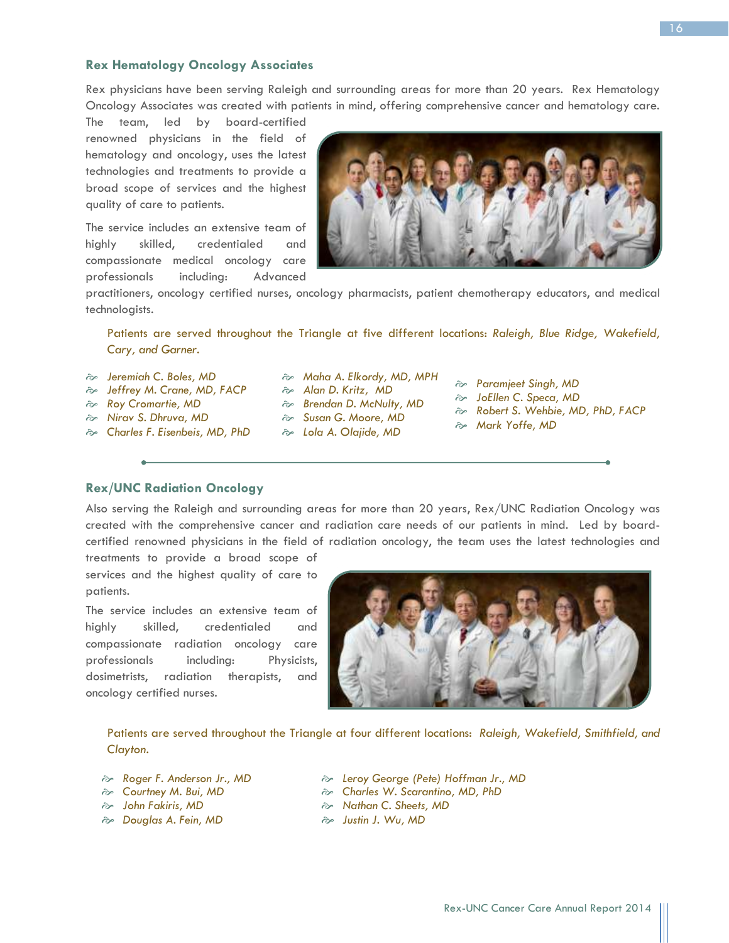#### **Rex Hematology Oncology Associates**

Rex physicians have been serving Raleigh and surrounding areas for more than 20 years. Rex Hematology Oncology Associates was created with patients in mind, offering comprehensive cancer and hematology care.

The team, led by board-certified renowned physicians in the field of hematology and oncology, uses the latest technologies and treatments to provide a broad scope of services and the highest quality of care to patients.

The service includes an extensive team of highly skilled, credentialed and compassionate medical oncology care professionals including: Advanced



practitioners, oncology certified nurses, oncology pharmacists, patient chemotherapy educators, and medical technologists.

Patients are served throughout the Triangle at five different locations: *Raleigh, Blue Ridge, Wakefield, Cary, and Garner.* 

- *Jeremiah C. Boles, MD*
- *Jeffrey M. Crane, MD, FACP*
- *Roy Cromartie, MD*
- *Nirav S. Dhruva, MD*
- *Charles F. Eisenbeis, MD, PhD*
- *Maha A. Elkordy, MD, MPH*
- *Alan D. Kritz, MD*
- *Brendan D. McNulty, MD*
- *Susan G. Moore, MD*
- *Lola A. Olajide, MD*
- *Paramjeet Singh, MD*
- *JoEllen C. Speca, MD*
- *Robert S. Wehbie, MD, PhD, FACP*
- *Mark Yoffe, MD*

#### **Rex/UNC Radiation Oncology**

Also serving the Raleigh and surrounding areas for more than 20 years, Rex/UNC Radiation Oncology was created with the comprehensive cancer and radiation care needs of our patients in mind. Led by boardcertified renowned physicians in the field of radiation oncology, the team uses the latest technologies and

treatments to provide a broad scope of services and the highest quality of care to patients.

The service includes an extensive team of highly skilled, credentialed and compassionate radiation oncology care professionals including: Physicists, dosimetrists, radiation therapists, and oncology certified nurses.



Patients are served throughout the Triangle at four different locations: *Raleigh, Wakefield, Smithfield, and Clayton.*

- *Roger F. Anderson Jr., MD*
- *Courtney M. Bui, MD*
- *John Fakiris, MD*
- *Douglas A. Fein, MD*
- *Leroy George (Pete) Hoffman Jr., MD*
- *Charles W. Scarantino, MD, PhD*
- *Nathan C. Sheets, MD*
- *Justin J. Wu, MD*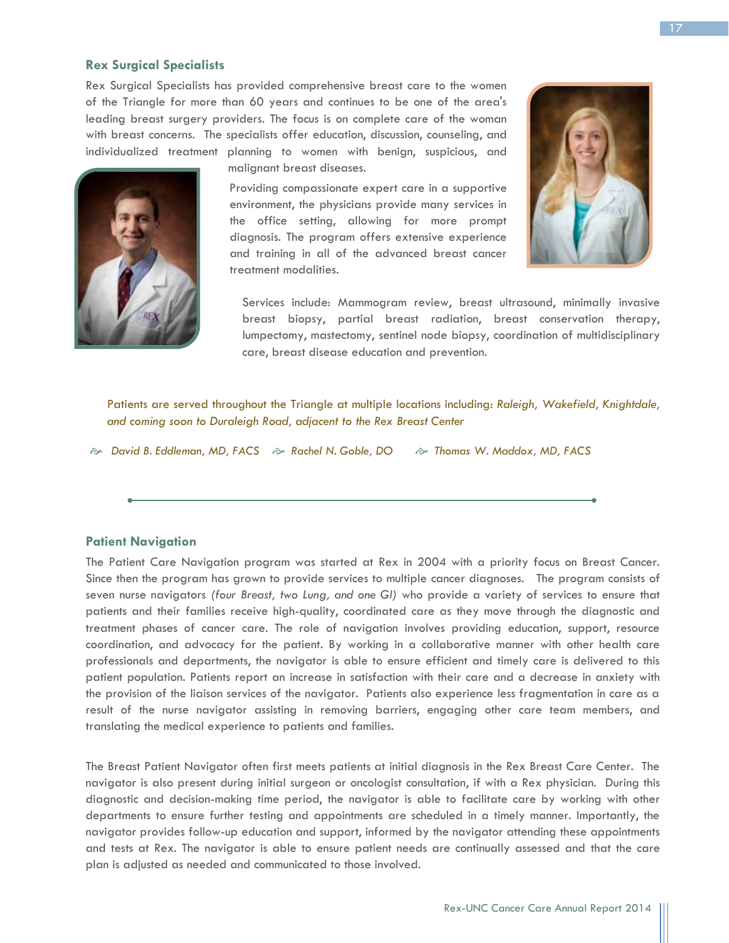#### **Rex Surgical Specialists**

Rex Surgical Specialists has provided comprehensive breast care to the women of the Triangle for more than 60 years and continues to be one of the area's leading breast surgery providers. The focus is on complete care of the woman with breast concerns. The specialists offer education, discussion, counseling, and individualized treatment planning to women with benign, suspicious, and



malignant breast diseases.

Providing compassionate expert care in a supportive environment, the physicians provide many services in the office setting, allowing for more prompt diagnosis. The program offers extensive experience and training in all of the advanced breast cancer treatment modalities.



Services include: Mammogram review, breast ultrasound, minimally invasive breast biopsy, partial breast radiation, breast conservation therapy, lumpectomy, mastectomy, sentinel node biopsy, coordination of multidisciplinary care, breast disease education and prevention.

Patients are served throughout the Triangle at multiple locations including: *Raleigh, Wakefield, Knightdale, and coming soon to Duraleigh Road, adjacent to the Rex Breast Center*

*David B. Eddleman, MD, FACS Rachel N. Goble, DO Thomas W. Maddox, MD, FACS*

#### **Patient Navigation**

The Patient Care Navigation program was started at Rex in 2004 with a priority focus on Breast Cancer. Since then the program has grown to provide services to multiple cancer diagnoses. The program consists of seven nurse navigators *(four Breast, two Lung, and one GI)* who provide a variety of services to ensure that patients and their families receive high-quality, coordinated care as they move through the diagnostic and treatment phases of cancer care. The role of navigation involves providing education, support, resource coordination, and advocacy for the patient. By working in a collaborative manner with other health care professionals and departments, the navigator is able to ensure efficient and timely care is delivered to this patient population. Patients report an increase in satisfaction with their care and a decrease in anxiety with the provision of the liaison services of the navigator. Patients also experience less fragmentation in care as a result of the nurse navigator assisting in removing barriers, engaging other care team members, and translating the medical experience to patients and families.

The Breast Patient Navigator often first meets patients at initial diagnosis in the Rex Breast Care Center. The navigator is also present during initial surgeon or oncologist consultation, if with a Rex physician. During this diagnostic and decision-making time period, the navigator is able to facilitate care by working with other departments to ensure further testing and appointments are scheduled in a timely manner. Importantly, the navigator provides follow-up education and support, informed by the navigator attending these appointments and tests at Rex. The navigator is able to ensure patient needs are continually assessed and that the care plan is adjusted as needed and communicated to those involved.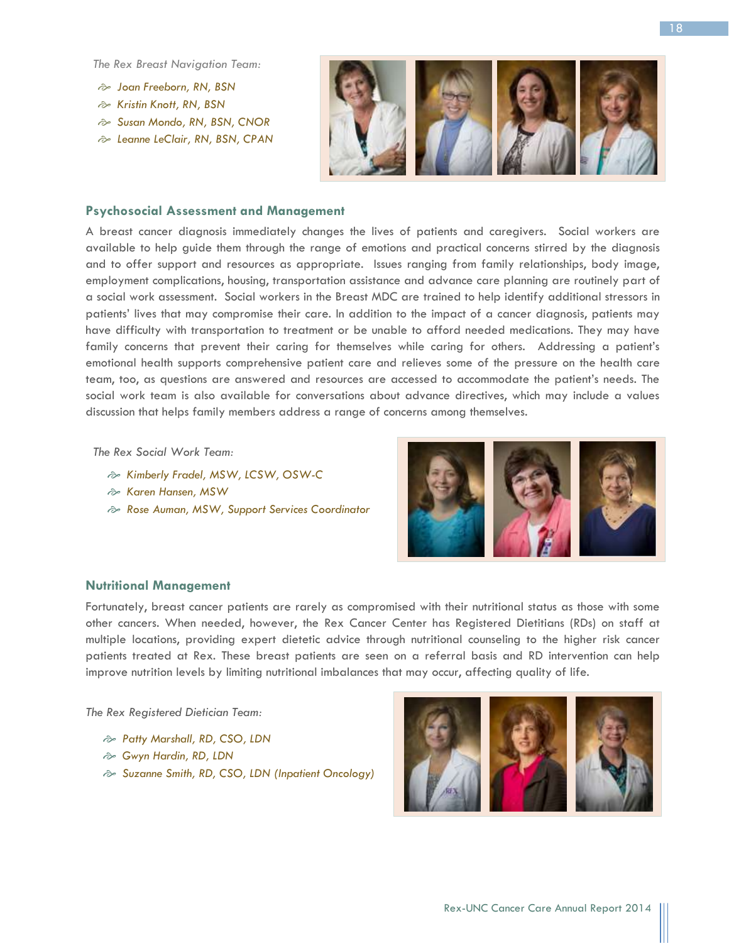*The Rex Breast Navigation Team:* 

- *Joan Freeborn, RN, BSN*
- *Kristin Knott, RN, BSN*
- *Susan Mondo, RN, BSN, CNOR*
- *Leanne LeClair, RN, BSN, CPAN*



#### **Psychosocial Assessment and Management**

A breast cancer diagnosis immediately changes the lives of patients and caregivers. Social workers are available to help guide them through the range of emotions and practical concerns stirred by the diagnosis and to offer support and resources as appropriate. Issues ranging from family relationships, body image, employment complications, housing, transportation assistance and advance care planning are routinely part of a social work assessment. Social workers in the Breast MDC are trained to help identify additional stressors in patients' lives that may compromise their care. In addition to the impact of a cancer diagnosis, patients may have difficulty with transportation to treatment or be unable to afford needed medications. They may have family concerns that prevent their caring for themselves while caring for others. Addressing a patient's emotional health supports comprehensive patient care and relieves some of the pressure on the health care team, too, as questions are answered and resources are accessed to accommodate the patient's needs. The social work team is also available for conversations about advance directives, which may include a values discussion that helps family members address a range of concerns among themselves.

*The Rex Social Work Team:* 

- *Kimberly Fradel, MSW, LCSW, OSW-C*
- *Karen Hansen, MSW*
- *Rose Auman, MSW, Support Services Coordinator*



#### **Nutritional Management**

Fortunately, breast cancer patients are rarely as compromised with their nutritional status as those with some other cancers. When needed, however, the Rex Cancer Center has Registered Dietitians (RDs) on staff at multiple locations, providing expert dietetic advice through nutritional counseling to the higher risk cancer patients treated at Rex. These breast patients are seen on a referral basis and RD intervention can help improve nutrition levels by limiting nutritional imbalances that may occur, affecting quality of life.

*The Rex Registered Dietician Team:* 

- *Patty Marshall, RD, CSO, LDN*
- *Gwyn Hardin, RD, LDN*
- *Suzanne Smith, RD, CSO, LDN (Inpatient Oncology)*

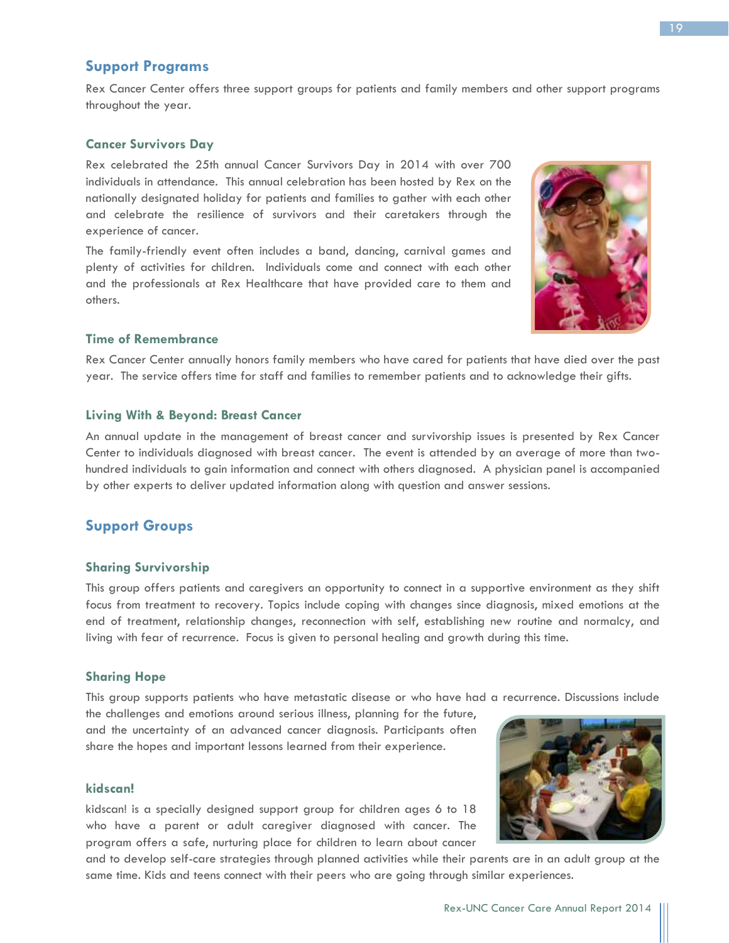# **Support Programs**

Rex Cancer Center offers three support groups for patients and family members and other support programs throughout the year.

# **Cancer Survivors Day**

Rex celebrated the 25th annual Cancer Survivors Day in 2014 with over 700 individuals in attendance. This annual celebration has been hosted by Rex on the nationally designated holiday for patients and families to gather with each other and celebrate the resilience of survivors and their caretakers through the experience of cancer.

The family-friendly event often includes a band, dancing, carnival games and plenty of activities for children. Individuals come and connect with each other and the professionals at Rex Healthcare that have provided care to them and others.



#### **Time of Remembrance**

Rex Cancer Center annually honors family members who have cared for patients that have died over the past year. The service offers time for staff and families to remember patients and to acknowledge their gifts.

#### **Living With & Beyond: Breast Cancer**

An annual update in the management of breast cancer and survivorship issues is presented by Rex Cancer Center to individuals diagnosed with breast cancer. The event is attended by an average of more than twohundred individuals to gain information and connect with others diagnosed. A physician panel is accompanied by other experts to deliver updated information along with question and answer sessions.

# **Support Groups**

# **Sharing Survivorship**

This group offers patients and caregivers an opportunity to connect in a supportive environment as they shift focus from treatment to recovery. Topics include coping with changes since diagnosis, mixed emotions at the end of treatment, relationship changes, reconnection with self, establishing new routine and normalcy, and living with fear of recurrence. Focus is given to personal healing and growth during this time.

#### **Sharing Hope**

This group supports patients who have metastatic disease or who have had a recurrence. Discussions include

the challenges and emotions around serious illness, planning for the future, and the uncertainty of an advanced cancer diagnosis. Participants often share the hopes and important lessons learned from their experience.

#### **kidscan!**

kidscan! is a specially designed support group for children ages 6 to 18 who have a parent or adult caregiver diagnosed with cancer. The program offers a safe, nurturing place for children to learn about cancer



and to develop self-care strategies through planned activities while their parents are in an adult group at the same time. Kids and teens connect with their peers who are going through similar experiences.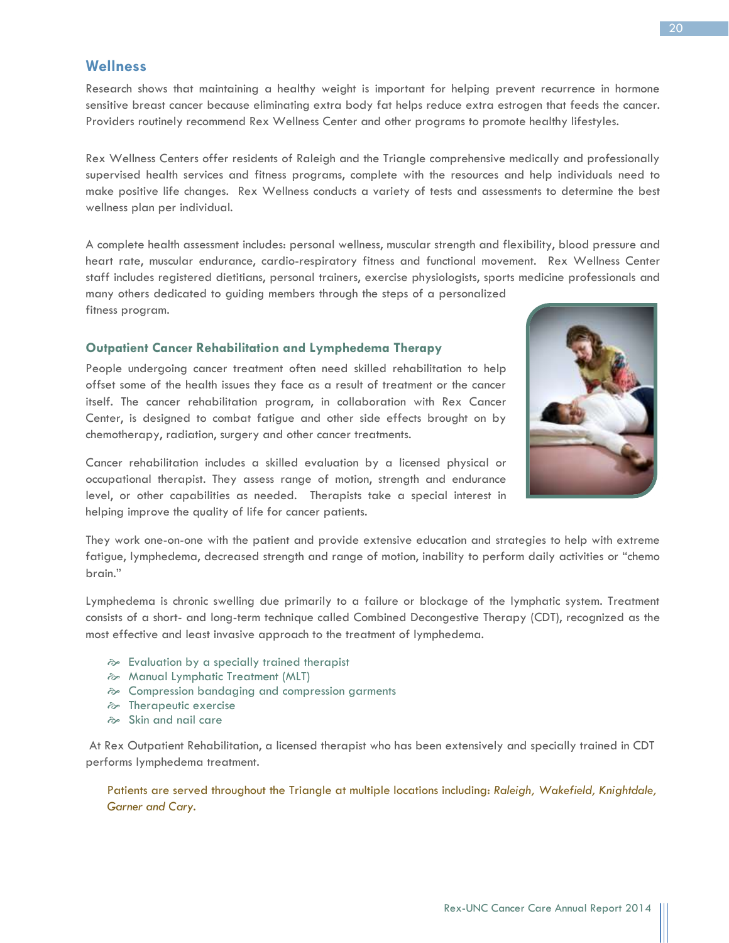# **Wellness**

Research shows that maintaining a healthy weight is important for helping prevent recurrence in hormone sensitive breast cancer because eliminating extra body fat helps reduce extra estrogen that feeds the cancer. Providers routinely recommend Rex Wellness Center and other programs to promote healthy lifestyles.

Rex Wellness Centers offer residents of Raleigh and the Triangle comprehensive medically and professionally supervised health services and fitness programs, complete with the resources and help individuals need to make positive life changes. Rex Wellness conducts a variety of tests and assessments to determine the best wellness plan per individual.

A complete health assessment includes: personal wellness, muscular strength and flexibility, blood pressure and heart rate, muscular endurance, cardio-respiratory fitness and functional movement. Rex Wellness Center staff includes registered dietitians, personal trainers, exercise physiologists, sports medicine professionals and

many others dedicated to guiding members through the steps of a personalized fitness program.

#### **Outpatient Cancer Rehabilitation and Lymphedema Therapy**

People undergoing cancer treatment often need skilled rehabilitation to help offset some of the health issues they face as a result of treatment or the cancer itself. The cancer rehabilitation program, in collaboration with Rex Cancer Center, is designed to combat fatigue and other side effects brought on by chemotherapy, radiation, surgery and other cancer treatments.

Cancer rehabilitation includes a skilled evaluation by a licensed physical or occupational therapist. They assess range of motion, strength and endurance level, or other capabilities as needed. Therapists take a special interest in helping improve the quality of life for cancer patients.

They work one-on-one with the patient and provide extensive education and strategies to help with extreme fatigue, lymphedema, decreased strength and range of motion, inability to perform daily activities or "chemo brain."

Lymphedema is chronic swelling due primarily to a failure or blockage of the lymphatic system. Treatment consists of a short- and long-term technique called Combined Decongestive Therapy (CDT), recognized as the most effective and least invasive approach to the treatment of lymphedema.

- $\Leftrightarrow$  Evaluation by a specially trained therapist
- Manual Lymphatic Treatment (MLT)
- Compression bandaging and compression garments
- Therapeutic exercise
- $\approx$  Skin and nail care

At Rex Outpatient Rehabilitation, a licensed therapist who has been extensively and specially trained in CDT performs lymphedema treatment.

Patients are served throughout the Triangle at multiple locations including: *Raleigh, Wakefield, Knightdale, Garner and Cary.*